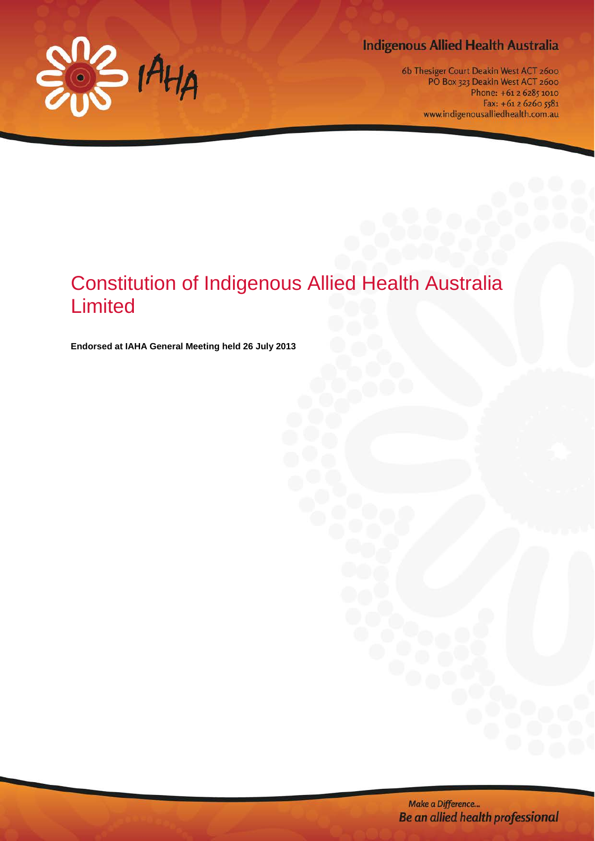

# **Indigenous Allied Health Australia**

6b Thesiger Court Deakin West ACT 2600 PO Box 323 Deakin West ACT 2600 Phone: +61 2 6285 1010 Fax: +61 2 6260 5581 www.indigenousalliedhealth.com.au

# Constitution of Indigenous Allied Health Australia Limited

**Endorsed at IAHA General Meeting held 26 July 2013**

Make a Difference... Be an allied health professional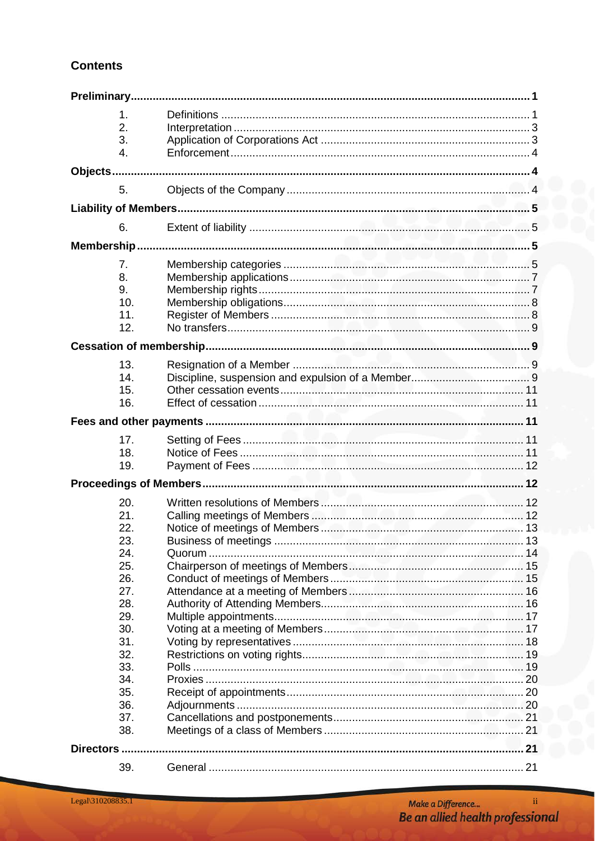# **Contents**

|           | 1.         |  |  |  |  |  |  |  |
|-----------|------------|--|--|--|--|--|--|--|
|           | 2.         |  |  |  |  |  |  |  |
|           | 3.         |  |  |  |  |  |  |  |
|           | 4.         |  |  |  |  |  |  |  |
|           |            |  |  |  |  |  |  |  |
|           |            |  |  |  |  |  |  |  |
|           | 5.         |  |  |  |  |  |  |  |
|           |            |  |  |  |  |  |  |  |
|           | 6.         |  |  |  |  |  |  |  |
|           |            |  |  |  |  |  |  |  |
|           | 7.         |  |  |  |  |  |  |  |
|           | 8.         |  |  |  |  |  |  |  |
|           | 9.         |  |  |  |  |  |  |  |
|           | 10.        |  |  |  |  |  |  |  |
|           | 11.        |  |  |  |  |  |  |  |
|           | 12.        |  |  |  |  |  |  |  |
|           |            |  |  |  |  |  |  |  |
|           |            |  |  |  |  |  |  |  |
|           | 13.        |  |  |  |  |  |  |  |
|           | 14.        |  |  |  |  |  |  |  |
|           | 15.        |  |  |  |  |  |  |  |
|           | 16.        |  |  |  |  |  |  |  |
|           |            |  |  |  |  |  |  |  |
|           | 17.        |  |  |  |  |  |  |  |
|           | 18.        |  |  |  |  |  |  |  |
|           | 19.        |  |  |  |  |  |  |  |
|           |            |  |  |  |  |  |  |  |
|           |            |  |  |  |  |  |  |  |
|           | 20.        |  |  |  |  |  |  |  |
|           | 21.        |  |  |  |  |  |  |  |
|           | 22.        |  |  |  |  |  |  |  |
|           | 23.        |  |  |  |  |  |  |  |
|           | 24.        |  |  |  |  |  |  |  |
|           | 25.        |  |  |  |  |  |  |  |
|           | 26.        |  |  |  |  |  |  |  |
|           | 27.<br>28. |  |  |  |  |  |  |  |
|           | 29.        |  |  |  |  |  |  |  |
|           | 30.        |  |  |  |  |  |  |  |
|           | 31.        |  |  |  |  |  |  |  |
|           | 32.        |  |  |  |  |  |  |  |
|           | 33.        |  |  |  |  |  |  |  |
|           | 34.        |  |  |  |  |  |  |  |
|           | 35.        |  |  |  |  |  |  |  |
|           | 36.        |  |  |  |  |  |  |  |
|           | 37.        |  |  |  |  |  |  |  |
|           | 38.        |  |  |  |  |  |  |  |
| Directors |            |  |  |  |  |  |  |  |
|           |            |  |  |  |  |  |  |  |
|           | 39.        |  |  |  |  |  |  |  |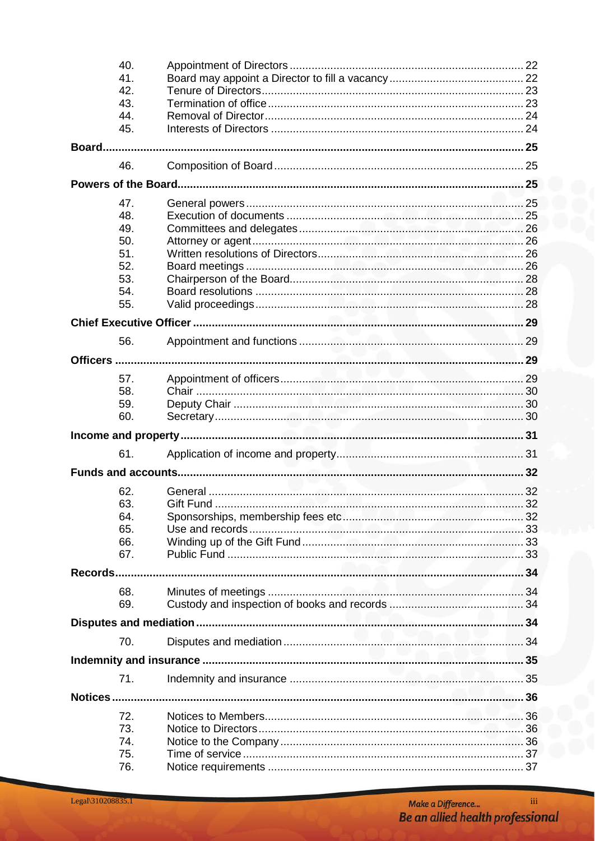|         | 40. |            |    |  |  |  |
|---------|-----|------------|----|--|--|--|
|         | 41. |            |    |  |  |  |
|         | 42. |            |    |  |  |  |
|         | 43. |            |    |  |  |  |
|         | 44. |            |    |  |  |  |
|         | 45. |            |    |  |  |  |
|         |     |            |    |  |  |  |
|         | 46. |            |    |  |  |  |
|         |     |            |    |  |  |  |
|         |     |            |    |  |  |  |
|         | 47. |            |    |  |  |  |
|         | 48. |            |    |  |  |  |
|         | 49. |            |    |  |  |  |
|         | 50. |            |    |  |  |  |
|         | 51. |            |    |  |  |  |
|         | 52. |            |    |  |  |  |
|         | 53. |            |    |  |  |  |
|         | 54. |            |    |  |  |  |
|         | 55. |            |    |  |  |  |
|         |     |            |    |  |  |  |
|         | 56. |            |    |  |  |  |
|         |     |            |    |  |  |  |
|         |     |            |    |  |  |  |
|         | 57. |            |    |  |  |  |
|         | 58. |            |    |  |  |  |
|         | 59. |            |    |  |  |  |
|         | 60. |            |    |  |  |  |
|         |     |            |    |  |  |  |
|         | 61. |            |    |  |  |  |
|         |     |            |    |  |  |  |
|         |     |            |    |  |  |  |
|         | 62. |            |    |  |  |  |
|         | 63. | Gift Fund. | 32 |  |  |  |
|         | 64. |            |    |  |  |  |
|         | 65. |            |    |  |  |  |
|         | 66. |            |    |  |  |  |
|         | 67. |            |    |  |  |  |
| Records |     |            |    |  |  |  |
|         |     |            |    |  |  |  |
|         | 68. |            |    |  |  |  |
|         | 69. |            |    |  |  |  |
|         |     |            |    |  |  |  |
|         | 70. |            |    |  |  |  |
|         |     |            |    |  |  |  |
|         | 71. |            |    |  |  |  |
|         |     |            |    |  |  |  |
|         |     |            |    |  |  |  |
|         | 72. |            |    |  |  |  |
|         | 73. |            |    |  |  |  |
|         | 74. |            |    |  |  |  |
|         | 75. |            |    |  |  |  |
|         | 76. |            |    |  |  |  |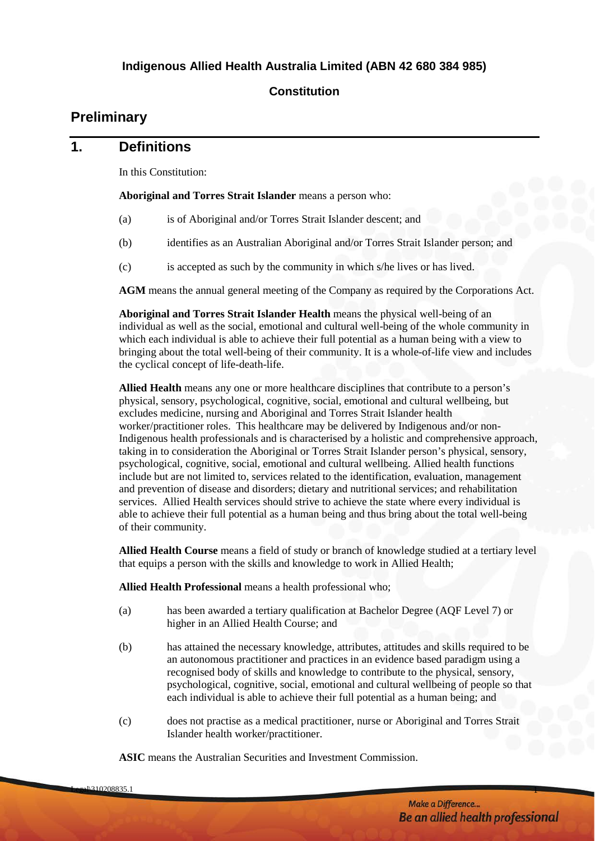#### **Constitution**

# <span id="page-4-0"></span>**Preliminary**

# <span id="page-4-1"></span>**1. Definitions**

In this Constitution:

**Aboriginal and Torres Strait Islander** means a person who:

- (a) is of Aboriginal and/or Torres Strait Islander descent; and
- (b) identifies as an Australian Aboriginal and/or Torres Strait Islander person; and
- (c) is accepted as such by the community in which s/he lives or has lived.

**AGM** means the annual general meeting of the Company as required by the Corporations Act.

**Aboriginal and Torres Strait Islander Health** means the physical well-being of an individual as well as the social, emotional and cultural well-being of the whole community in which each individual is able to achieve their full potential as a human being with a view to bringing about the total well-being of their community. It is a whole-of-life view and includes the cyclical concept of life-death-life.

**Allied Health** means any one or more healthcare disciplines that contribute to a person's physical, sensory, psychological, cognitive, social, emotional and cultural wellbeing, but excludes medicine, nursing and Aboriginal and Torres Strait Islander health worker/practitioner roles. This healthcare may be delivered by Indigenous and/or non-Indigenous health professionals and is characterised by a holistic and comprehensive approach, taking in to consideration the Aboriginal or Torres Strait Islander person's physical, sensory, psychological, cognitive, social, emotional and cultural wellbeing. Allied health functions include but are not limited to, services related to the identification, evaluation, management and prevention of disease and disorders; dietary and nutritional services; and rehabilitation services. Allied Health services should strive to achieve the state where every individual is able to achieve their full potential as a human being and thus bring about the total well-being of their community.

**Allied Health Course** means a field of study or branch of knowledge studied at a tertiary level that equips a person with the skills and knowledge to work in Allied Health;

**Allied Health Professional** means a health professional who;

- (a) has been awarded a tertiary qualification at Bachelor Degree (AQF Level 7) or higher in an Allied Health Course; and
- (b) has attained the necessary knowledge, attributes, attitudes and skills required to be an autonomous practitioner and practices in an evidence based paradigm using a recognised body of skills and knowledge to contribute to the physical, sensory, psychological, cognitive, social, emotional and cultural wellbeing of people so that each individual is able to achieve their full potential as a human being; and
- (c) does not practise as a medical practitioner, nurse or Aboriginal and Torres Strait Islander health worker/practitioner.

**ASIC** means the Australian Securities and Investment Commission.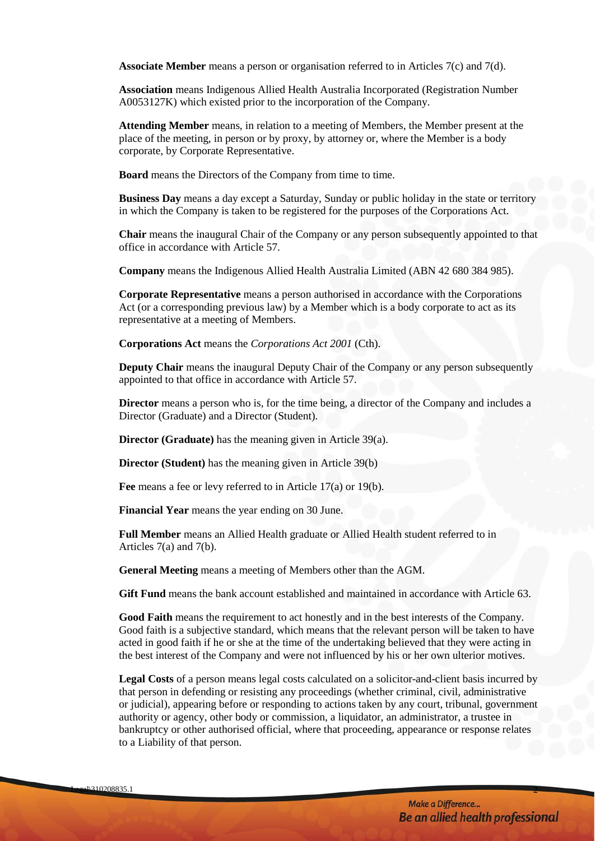**Associate Member** means a person or organisation referred to in Articles 7(c) and 7(d).

**Association** means Indigenous Allied Health Australia Incorporated (Registration Number A0053127K) which existed prior to the incorporation of the Company.

**Attending Member** means, in relation to a meeting of Members, the Member present at the place of the meeting, in person or by proxy, by attorney or, where the Member is a body corporate, by Corporate Representative.

**Board** means the Directors of the Company from time to time.

**Business Day** means a day except a Saturday, Sunday or public holiday in the state or territory in which the Company is taken to be registered for the purposes of the Corporations Act.

**Chair** means the inaugural Chair of the Company or any person subsequently appointed to that office in accordance with Article 57.

**Company** means the Indigenous Allied Health Australia Limited (ABN 42 680 384 985).

**Corporate Representative** means a person authorised in accordance with the Corporations Act (or a corresponding previous law) by a Member which is a body corporate to act as its representative at a meeting of Members.

**Corporations Act** means the *Corporations Act 2001* (Cth).

**Deputy Chair** means the inaugural Deputy Chair of the Company or any person subsequently appointed to that office in accordance with Article 57.

**Director** means a person who is, for the time being, a director of the Company and includes a Director (Graduate) and a Director (Student).

**Director (Graduate)** has the meaning given in Article [39\(a\).](#page-24-4)

**Director (Student)** has the meaning given in Article [39\(b\)](#page-24-5)

**Fee** means a fee or levy referred to in Article [17\(a\)](#page-14-5) or [19\(b\).](#page-15-4)

**Financial Year** means the year ending on 30 June.

**Full Member** means an Allied Health graduate or Allied Health student referred to in Articles 7(a) and 7(b).

**General Meeting** means a meeting of Members other than the AGM.

**Gift Fund** means the bank account established and maintained in accordance with Article 63.

**Good Faith** means the requirement to act honestly and in the best interests of the Company. Good faith is a subjective standard, which means that the relevant person will be taken to have acted in good faith if he or she at the time of the undertaking believed that they were acting in the best interest of the Company and were not influenced by his or her own ulterior motives.

**Legal Costs** of a person means legal costs calculated on a solicitor-and-client basis incurred by that person in defending or resisting any proceedings (whether criminal, civil, administrative or judicial), appearing before or responding to actions taken by any court, tribunal, government authority or agency, other body or commission, a liquidator, an administrator, a trustee in bankruptcy or other authorised official, where that proceeding, appearance or response relates to a Liability of that person.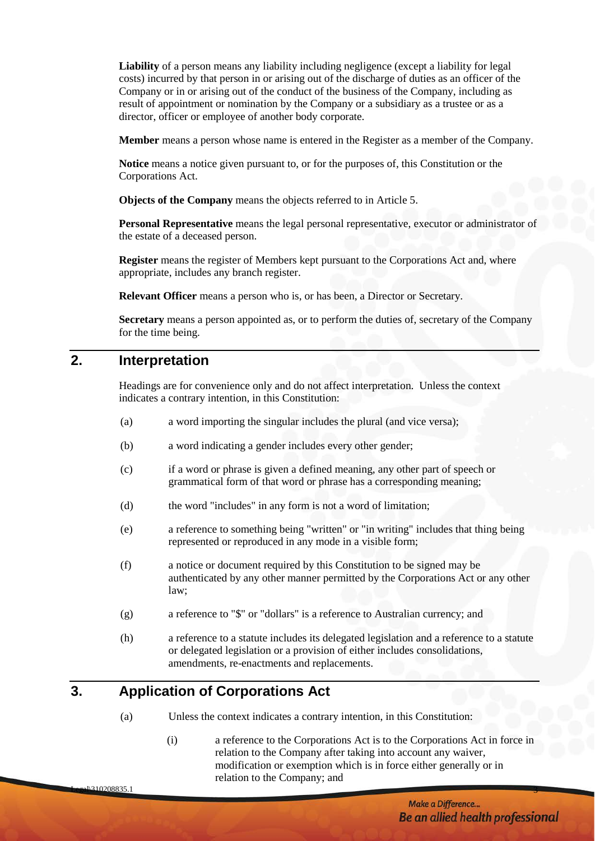**Liability** of a person means any liability including negligence (except a liability for legal costs) incurred by that person in or arising out of the discharge of duties as an officer of the Company or in or arising out of the conduct of the business of the Company, including as result of appointment or nomination by the Company or a subsidiary as a trustee or as a director, officer or employee of another body corporate.

**Member** means a person whose name is entered in the Register as a member of the Company.

**Notice** means a notice given pursuant to, or for the purposes of, this Constitution or the Corporations Act.

**Objects of the Company** means the objects referred to in Article 5.

**Personal Representative** means the legal personal representative, executor or administrator of the estate of a deceased person.

**Register** means the register of Members kept pursuant to the Corporations Act and, where appropriate, includes any branch register.

**Relevant Officer** means a person who is, or has been, a Director or Secretary.

**Secretary** means a person appointed as, or to perform the duties of, secretary of the Company for the time being.

#### <span id="page-6-0"></span>**2. Interpretation**

Headings are for convenience only and do not affect interpretation. Unless the context indicates a contrary intention, in this Constitution:

- (a) a word importing the singular includes the plural (and vice versa);
- (b) a word indicating a gender includes every other gender;
- (c) if a word or phrase is given a defined meaning, any other part of speech or grammatical form of that word or phrase has a corresponding meaning;
- (d) the word "includes" in any form is not a word of limitation;
- (e) a reference to something being "written" or "in writing" includes that thing being represented or reproduced in any mode in a visible form;
- (f) a notice or document required by this Constitution to be signed may be authenticated by any other manner permitted by the Corporations Act or any other law;
- (g) a reference to "\$" or "dollars" is a reference to Australian currency; and
- (h) a reference to a statute includes its delegated legislation and a reference to a statute or delegated legislation or a provision of either includes consolidations, amendments, re-enactments and replacements.

# <span id="page-6-1"></span>**3. Application of Corporations Act**

- (a) Unless the context indicates a contrary intention, in this Constitution:
	- (i) a reference to the Corporations Act is to the Corporations Act in force in relation to the Company after taking into account any waiver, modification or exemption which is in force either generally or in relation to the Company; and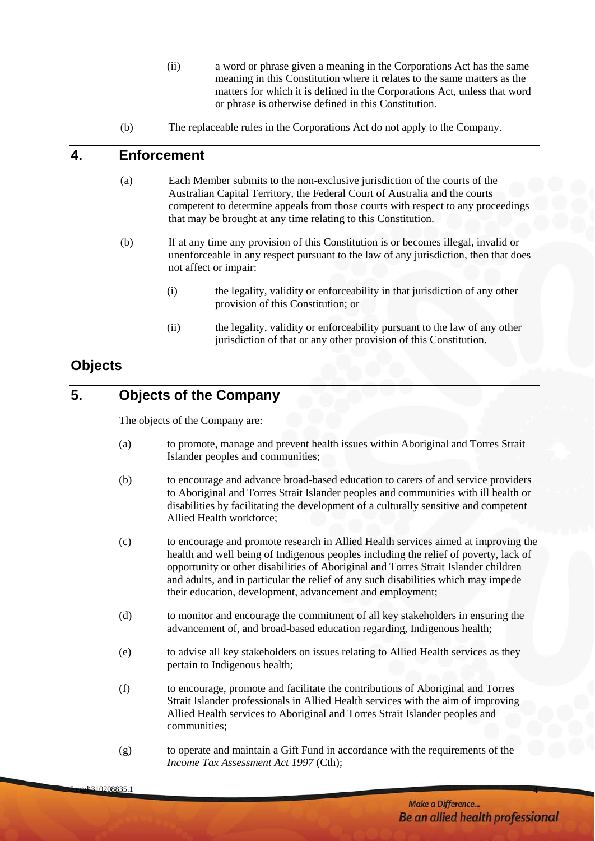- (ii) a word or phrase given a meaning in the Corporations Act has the same meaning in this Constitution where it relates to the same matters as the matters for which it is defined in the Corporations Act, unless that word or phrase is otherwise defined in this Constitution.
- (b) The replaceable rules in the Corporations Act do not apply to the Company.

# <span id="page-7-0"></span>**4. Enforcement**

- (a) Each Member submits to the non-exclusive jurisdiction of the courts of the Australian Capital Territory, the Federal Court of Australia and the courts competent to determine appeals from those courts with respect to any proceedings that may be brought at any time relating to this Constitution.
- (b) If at any time any provision of this Constitution is or becomes illegal, invalid or unenforceable in any respect pursuant to the law of any jurisdiction, then that does not affect or impair:
	- (i) the legality, validity or enforceability in that jurisdiction of any other provision of this Constitution; or
	- (ii) the legality, validity or enforceability pursuant to the law of any other jurisdiction of that or any other provision of this Constitution.

# <span id="page-7-1"></span>**Objects**

# <span id="page-7-2"></span>**5. Objects of the Company**

The objects of the Company are:

- (a) to promote, manage and prevent health issues within Aboriginal and Torres Strait Islander peoples and communities;
- (b) to encourage and advance broad-based education to carers of and service providers to Aboriginal and Torres Strait Islander peoples and communities with ill health or disabilities by facilitating the development of a culturally sensitive and competent Allied Health workforce;
- (c) to encourage and promote research in Allied Health services aimed at improving the health and well being of Indigenous peoples including the relief of poverty, lack of opportunity or other disabilities of Aboriginal and Torres Strait Islander children and adults, and in particular the relief of any such disabilities which may impede their education, development, advancement and employment;
- (d) to monitor and encourage the commitment of all key stakeholders in ensuring the advancement of, and broad-based education regarding, Indigenous health;
- (e) to advise all key stakeholders on issues relating to Allied Health services as they pertain to Indigenous health;
- (f) to encourage, promote and facilitate the contributions of Aboriginal and Torres Strait Islander professionals in Allied Health services with the aim of improving Allied Health services to Aboriginal and Torres Strait Islander peoples and communities;
- (g) to operate and maintain a Gift Fund in accordance with the requirements of the *Income Tax Assessment Act 1997* (Cth);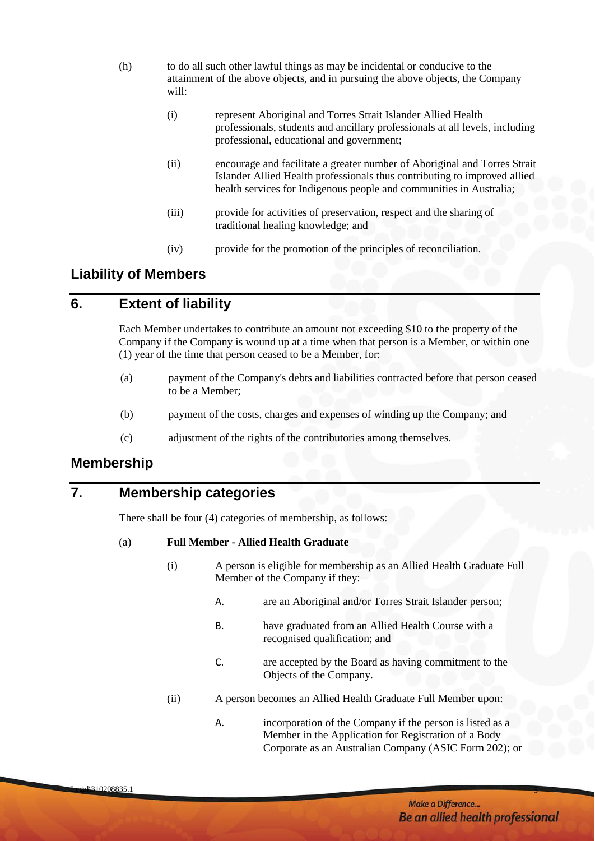- (h) to do all such other lawful things as may be incidental or conducive to the attainment of the above objects, and in pursuing the above objects, the Company will:
	- (i) represent Aboriginal and Torres Strait Islander Allied Health professionals, students and ancillary professionals at all levels, including professional, educational and government;
	- (ii) encourage and facilitate a greater number of Aboriginal and Torres Strait Islander Allied Health professionals thus contributing to improved allied health services for Indigenous people and communities in Australia;
	- (iii) provide for activities of preservation, respect and the sharing of traditional healing knowledge; and
	- (iv) provide for the promotion of the principles of reconciliation.

# <span id="page-8-0"></span>**Liability of Members**

# <span id="page-8-1"></span>**6. Extent of liability**

Each Member undertakes to contribute an amount not exceeding \$10 to the property of the Company if the Company is wound up at a time when that person is a Member, or within one (1) year of the time that person ceased to be a Member, for:

- (a) payment of the Company's debts and liabilities contracted before that person ceased to be a Member;
- (b) payment of the costs, charges and expenses of winding up the Company; and
- (c) adjustment of the rights of the contributories among themselves.

# <span id="page-8-2"></span>**Membership**

# <span id="page-8-3"></span>**7. Membership categories**

There shall be four (4) categories of membership, as follows:

#### (a) **Full Member - Allied Health Graduate**

- (i) A person is eligible for membership as an Allied Health Graduate Full Member of the Company if they:
	- A. are an Aboriginal and/or Torres Strait Islander person;
	- B. have graduated from an Allied Health Course with a recognised qualification; and
	- C. are accepted by the Board as having commitment to the Objects of the Company.
- (ii) A person becomes an Allied Health Graduate Full Member upon:
	- A. incorporation of the Company if the person is listed as a Member in the Application for Registration of a Body Corporate as an Australian Company (ASIC Form 202); or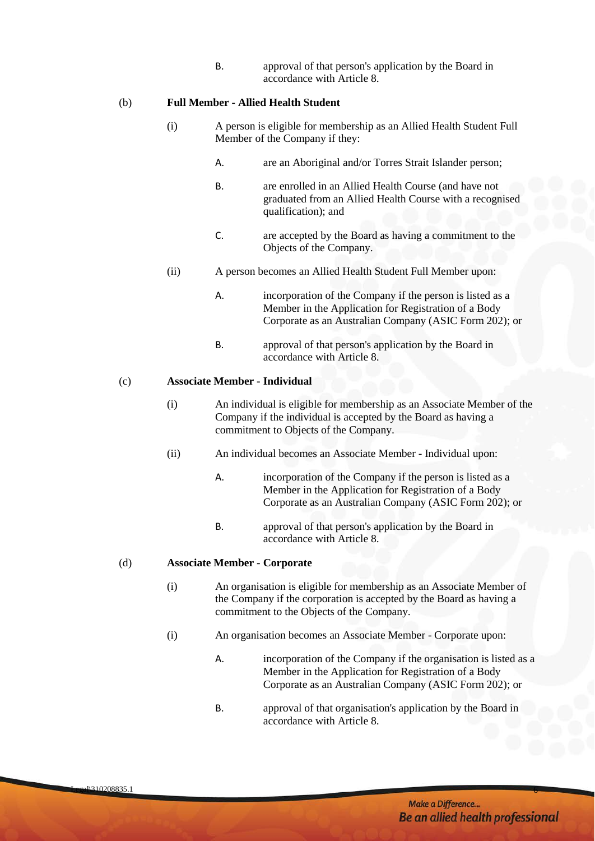B. approval of that person's application by the Board in accordance with Article 8.

#### (b) **Full Member - Allied Health Student**

- (i) A person is eligible for membership as an Allied Health Student Full Member of the Company if they:
	- A. are an Aboriginal and/or Torres Strait Islander person;
	- B. are enrolled in an Allied Health Course (and have not graduated from an Allied Health Course with a recognised qualification); and
	- C. are accepted by the Board as having a commitment to the Objects of the Company.
- (ii) A person becomes an Allied Health Student Full Member upon:
	- A. incorporation of the Company if the person is listed as a Member in the Application for Registration of a Body Corporate as an Australian Company (ASIC Form 202); or
	- B. approval of that person's application by the Board in accordance with Article 8.

#### (c) **Associate Member - Individual**

- (i) An individual is eligible for membership as an Associate Member of the Company if the individual is accepted by the Board as having a commitment to Objects of the Company.
- (ii) An individual becomes an Associate Member Individual upon:
	- A. incorporation of the Company if the person is listed as a Member in the Application for Registration of a Body Corporate as an Australian Company (ASIC Form 202); or
	- B. approval of that person's application by the Board in accordance with Article 8.

#### (d) **Associate Member - Corporate**

- (i) An organisation is eligible for membership as an Associate Member of the Company if the corporation is accepted by the Board as having a commitment to the Objects of the Company.
- (i) An organisation becomes an Associate Member Corporate upon:

- A. incorporation of the Company if the organisation is listed as a Member in the Application for Registration of a Body Corporate as an Australian Company (ASIC Form 202); or
- B. approval of that organisation's application by the Board in accordance with Article 8.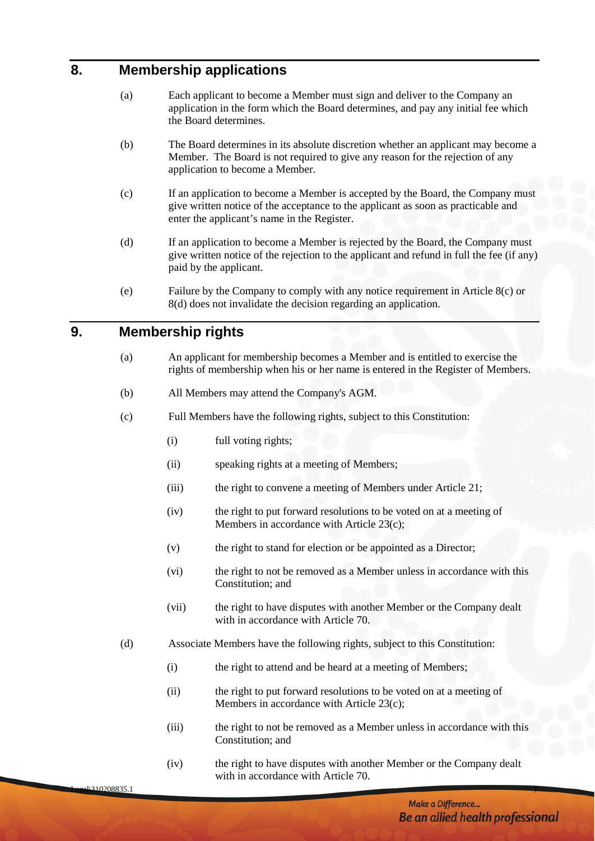# <span id="page-10-0"></span>**8. Membership applications**

- (a) Each applicant to become a Member must sign and deliver to the Company an application in the form which the Board determines, and pay any initial fee which the Board determines.
- (b) The Board determines in its absolute discretion whether an applicant may become a Member. The Board is not required to give any reason for the rejection of any application to become a Member.
- <span id="page-10-2"></span>(c) If an application to become a Member is accepted by the Board, the Company must give written notice of the acceptance to the applicant as soon as practicable and enter the applicant's name in the Register.
- <span id="page-10-3"></span>(d) If an application to become a Member is rejected by the Board, the Company must give written notice of the rejection to the applicant and refund in full the fee (if any) paid by the applicant.
- (e) Failure by the Company to comply with any notice requirement in Article [8\(c\)](#page-10-2) or [8\(d\)](#page-10-3) does not invalidate the decision regarding an application.

# <span id="page-10-1"></span>**9. Membership rights**

- (a) An applicant for membership becomes a Member and is entitled to exercise the rights of membership when his or her name is entered in the Register of Members.
- (b) All Members may attend the Company's AGM.
- (c) Full Members have the following rights, subject to this Constitution:
	- (i) full voting rights;
	- (ii) speaking rights at a meeting of Members;
	- (iii) the right to convene a meeting of Members under Article 21;
	- (iv) the right to put forward resolutions to be voted on at a meeting of Members in accordance with Article 23(c);
	- (v) the right to stand for election or be appointed as a Director;
	- (vi) the right to not be removed as a Member unless in accordance with this Constitution; and
	- (vii) the right to have disputes with another Member or the Company dealt with in accordance with Article 70.
- (d) Associate Members have the following rights, subject to this Constitution:
	- (i) the right to attend and be heard at a meeting of Members;
	- (ii) the right to put forward resolutions to be voted on at a meeting of Members in accordance with Article 23(c);
	- (iii) the right to not be removed as a Member unless in accordance with this Constitution; and
	- (iv) the right to have disputes with another Member or the Company dealt with in accordance with Article 70.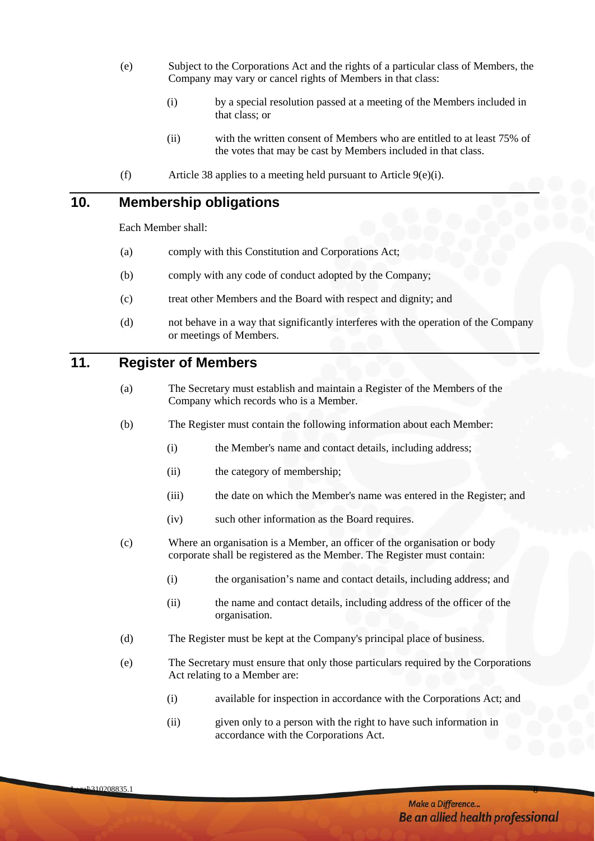- <span id="page-11-2"></span>(e) Subject to the Corporations Act and the rights of a particular class of Members, the Company may vary or cancel rights of Members in that class:
	- (i) by a special resolution passed at a meeting of the Members included in that class; or
	- (ii) with the written consent of Members who are entitled to at least 75% of the votes that may be cast by Members included in that class.
- (f) Article 38 applies to a meeting held pursuant to Article  $9(e)(i)$ .

# <span id="page-11-0"></span>**10. Membership obligations**

Each Member shall:

- (a) comply with this Constitution and Corporations Act;
- (b) comply with any code of conduct adopted by the Company;
- (c) treat other Members and the Board with respect and dignity; and
- (d) not behave in a way that significantly interferes with the operation of the Company or meetings of Members.

# <span id="page-11-1"></span>**11. Register of Members**

- (a) The Secretary must establish and maintain a Register of the Members of the Company which records who is a Member.
- (b) The Register must contain the following information about each Member:
	- (i) the Member's name and contact details, including address;
	- (ii) the category of membership;
	- (iii) the date on which the Member's name was entered in the Register; and
	- (iv) such other information as the Board requires.
- (c) Where an organisation is a Member, an officer of the organisation or body corporate shall be registered as the Member. The Register must contain:
	- (i) the organisation's name and contact details, including address; and
	- (ii) the name and contact details, including address of the officer of the organisation.
- (d) The Register must be kept at the Company's principal place of business.
- (e) The Secretary must ensure that only those particulars required by the Corporations Act relating to a Member are:
	- (i) available for inspection in accordance with the Corporations Act; and
	- (ii) given only to a person with the right to have such information in accordance with the Corporations Act.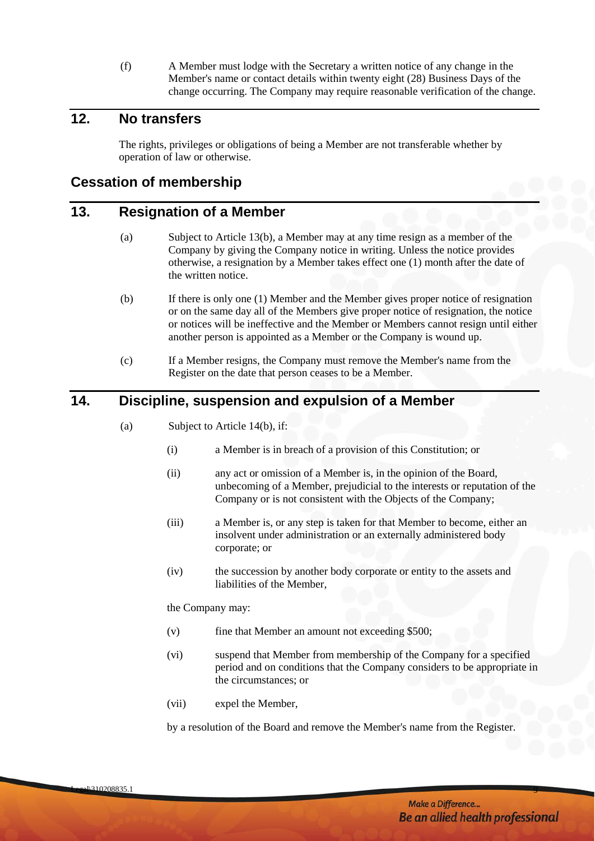(f) A Member must lodge with the Secretary a written notice of any change in the Member's name or contact details within twenty eight (28) Business Days of the change occurring. The Company may require reasonable verification of the change.

# <span id="page-12-0"></span>**12. No transfers**

The rights, privileges or obligations of being a Member are not transferable whether by operation of law or otherwise.

#### <span id="page-12-1"></span>**Cessation of membership**

#### <span id="page-12-2"></span>**13. Resignation of a Member**

- (a) Subject to Article [13\(b\),](#page-12-4) a Member may at any time resign as a member of the Company by giving the Company notice in writing. Unless the notice provides otherwise, a resignation by a Member takes effect one (1) month after the date of the written notice.
- <span id="page-12-4"></span>(b) If there is only one (1) Member and the Member gives proper notice of resignation or on the same day all of the Members give proper notice of resignation, the notice or notices will be ineffective and the Member or Members cannot resign until either another person is appointed as a Member or the Company is wound up.
- (c) If a Member resigns, the Company must remove the Member's name from the Register on the date that person ceases to be a Member.

# <span id="page-12-3"></span>**14. Discipline, suspension and expulsion of a Member**

- (a) Subject to Article [14\(b\),](#page-13-0) if:
	- (i) a Member is in breach of a provision of this Constitution; or
	- (ii) any act or omission of a Member is, in the opinion of the Board, unbecoming of a Member, prejudicial to the interests or reputation of the Company or is not consistent with the Objects of the Company;
	- (iii) a Member is, or any step is taken for that Member to become, either an insolvent under administration or an externally administered body corporate; or
	- (iv) the succession by another body corporate or entity to the assets and liabilities of the Member,

the Company may:

- (v) fine that Member an amount not exceeding \$500;
- (vi) suspend that Member from membership of the Company for a specified period and on conditions that the Company considers to be appropriate in the circumstances; or
- (vii) expel the Member,

by a resolution of the Board and remove the Member's name from the Register.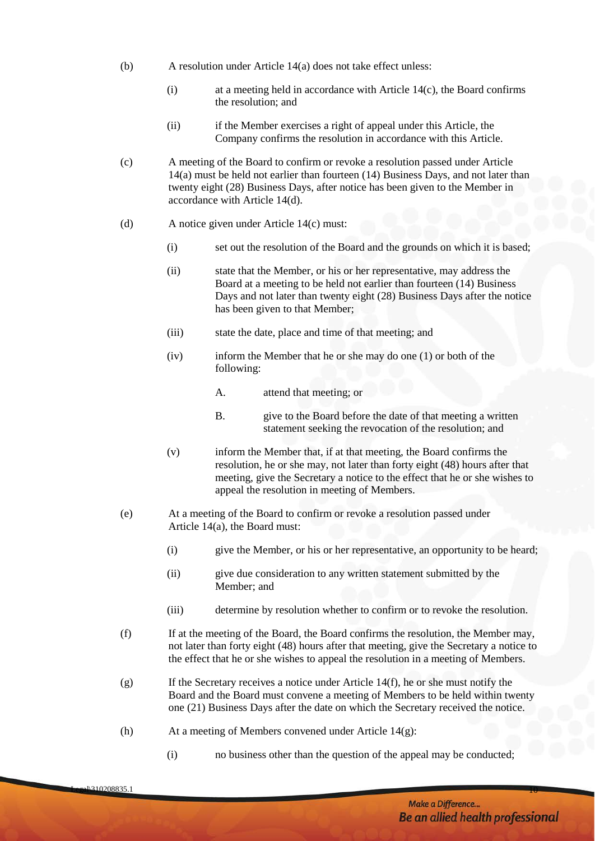- <span id="page-13-0"></span>(b) A resolution under Article 14(a) does not take effect unless:
	- (i) at a meeting held in accordance with Article 14(c), the Board confirms the resolution; and
	- (ii) if the Member exercises a right of appeal under this Article, the Company confirms the resolution in accordance with this Article.
- (c) A meeting of the Board to confirm or revoke a resolution passed under Article 14(a) must be held not earlier than fourteen (14) Business Days, and not later than twenty eight (28) Business Days, after notice has been given to the Member in accordance with Article 14(d).
- (d) A notice given under Article 14(c) must:
	- (i) set out the resolution of the Board and the grounds on which it is based;
	- (ii) state that the Member, or his or her representative, may address the Board at a meeting to be held not earlier than fourteen (14) Business Days and not later than twenty eight (28) Business Days after the notice has been given to that Member;
	- (iii) state the date, place and time of that meeting; and
	- (iv) inform the Member that he or she may do one (1) or both of the following:
		- A. attend that meeting; or
		- B. give to the Board before the date of that meeting a written statement seeking the revocation of the resolution; and
	- (v) inform the Member that, if at that meeting, the Board confirms the resolution, he or she may, not later than forty eight (48) hours after that meeting, give the Secretary a notice to the effect that he or she wishes to appeal the resolution in meeting of Members.
- (e) At a meeting of the Board to confirm or revoke a resolution passed under Article 14(a), the Board must:
	- (i) give the Member, or his or her representative, an opportunity to be heard;
	- (ii) give due consideration to any written statement submitted by the Member; and
	- (iii) determine by resolution whether to confirm or to revoke the resolution.
- (f) If at the meeting of the Board, the Board confirms the resolution, the Member may, not later than forty eight (48) hours after that meeting, give the Secretary a notice to the effect that he or she wishes to appeal the resolution in a meeting of Members.
- (g) If the Secretary receives a notice under Article 14(f), he or she must notify the Board and the Board must convene a meeting of Members to be held within twenty one (21) Business Days after the date on which the Secretary received the notice.
- (h) At a meeting of Members convened under Article 14(g):
	- (i) no business other than the question of the appeal may be conducted;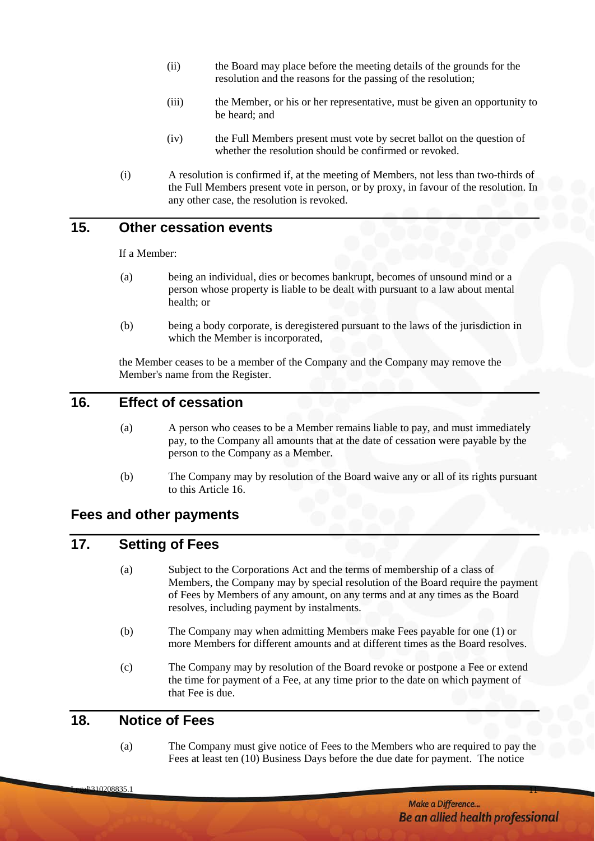- (ii) the Board may place before the meeting details of the grounds for the resolution and the reasons for the passing of the resolution;
- (iii) the Member, or his or her representative, must be given an opportunity to be heard; and
- (iv) the Full Members present must vote by secret ballot on the question of whether the resolution should be confirmed or revoked.
- (i) A resolution is confirmed if, at the meeting of Members, not less than two-thirds of the Full Members present vote in person, or by proxy, in favour of the resolution. In any other case, the resolution is revoked.

# <span id="page-14-0"></span>**15. Other cessation events**

If a Member:

- (a) being an individual, dies or becomes bankrupt, becomes of unsound mind or a person whose property is liable to be dealt with pursuant to a law about mental health; or
- (b) being a body corporate, is deregistered pursuant to the laws of the jurisdiction in which the Member is incorporated,

the Member ceases to be a member of the Company and the Company may remove the Member's name from the Register.

# <span id="page-14-1"></span>**16. Effect of cessation**

- (a) A person who ceases to be a Member remains liable to pay, and must immediately pay, to the Company all amounts that at the date of cessation were payable by the person to the Company as a Member.
- (b) The Company may by resolution of the Board waive any or all of its rights pursuant to this Article [16.](#page-14-1)

#### <span id="page-14-2"></span>**Fees and other payments**

# <span id="page-14-5"></span><span id="page-14-3"></span>**17. Setting of Fees**

- (a) Subject to the Corporations Act and the terms of membership of a class of Members, the Company may by special resolution of the Board require the payment of Fees by Members of any amount, on any terms and at any times as the Board resolves, including payment by instalments.
- (b) The Company may when admitting Members make Fees payable for one (1) or more Members for different amounts and at different times as the Board resolves.
- (c) The Company may by resolution of the Board revoke or postpone a Fee or extend the time for payment of a Fee, at any time prior to the date on which payment of that Fee is due.

# <span id="page-14-4"></span>**18. Notice of Fees**

(a) The Company must give notice of Fees to the Members who are required to pay the Fees at least ten (10) Business Days before the due date for payment. The notice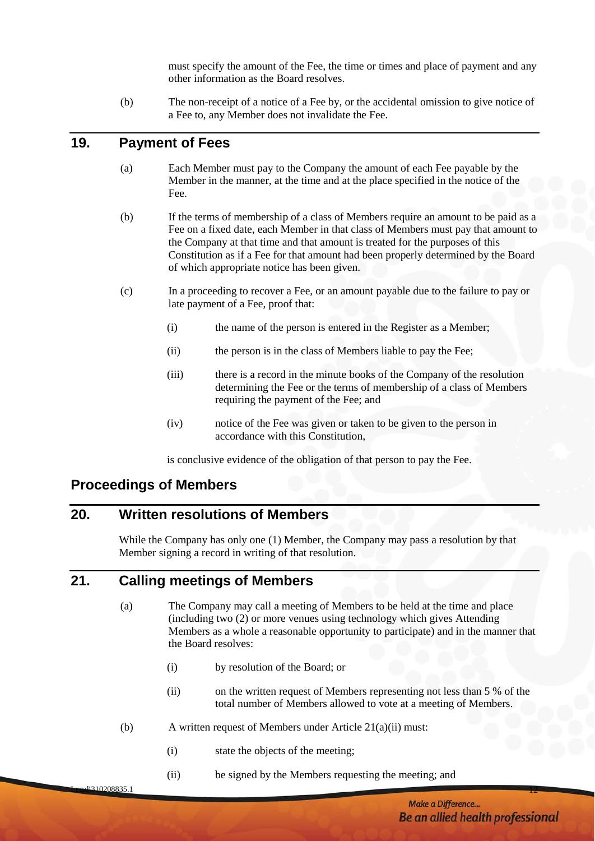must specify the amount of the Fee, the time or times and place of payment and any other information as the Board resolves.

(b) The non-receipt of a notice of a Fee by, or the accidental omission to give notice of a Fee to, any Member does not invalidate the Fee.

# <span id="page-15-0"></span>**19. Payment of Fees**

- (a) Each Member must pay to the Company the amount of each Fee payable by the Member in the manner, at the time and at the place specified in the notice of the Fee.
- <span id="page-15-4"></span>(b) If the terms of membership of a class of Members require an amount to be paid as a Fee on a fixed date, each Member in that class of Members must pay that amount to the Company at that time and that amount is treated for the purposes of this Constitution as if a Fee for that amount had been properly determined by the Board of which appropriate notice has been given.
- (c) In a proceeding to recover a Fee, or an amount payable due to the failure to pay or late payment of a Fee, proof that:
	- (i) the name of the person is entered in the Register as a Member;
	- (ii) the person is in the class of Members liable to pay the Fee;
	- (iii) there is a record in the minute books of the Company of the resolution determining the Fee or the terms of membership of a class of Members requiring the payment of the Fee; and
	- (iv) notice of the Fee was given or taken to be given to the person in accordance with this Constitution,

is conclusive evidence of the obligation of that person to pay the Fee.

# <span id="page-15-1"></span>**Proceedings of Members**

# <span id="page-15-2"></span>**20. Written resolutions of Members**

While the Company has only one (1) Member, the Company may pass a resolution by that Member signing a record in writing of that resolution.

# <span id="page-15-3"></span>**21. Calling meetings of Members**

- (a) The Company may call a meeting of Members to be held at the time and place (including two (2) or more venues using technology which gives Attending Members as a whole a reasonable opportunity to participate) and in the manner that the Board resolves:
	- (i) by resolution of the Board; or
	- (ii) on the written request of Members representing not less than 5 % of the total number of Members allowed to vote at a meeting of Members.
- (b) A written request of Members under Article 21(a)(ii) must:
	- (i) state the objects of the meeting;
	- (ii) be signed by the Members requesting the meeting; and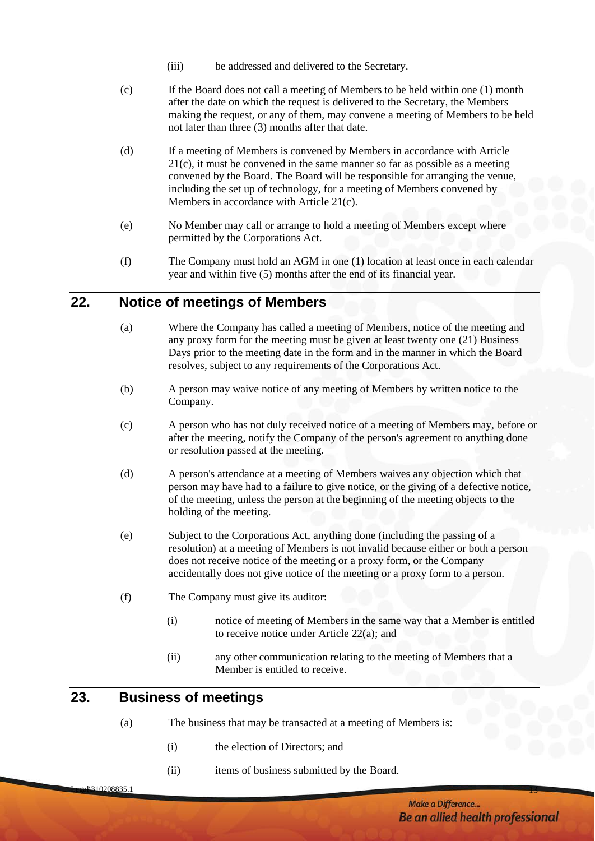- (iii) be addressed and delivered to the Secretary.
- (c) If the Board does not call a meeting of Members to be held within one (1) month after the date on which the request is delivered to the Secretary, the Members making the request, or any of them, may convene a meeting of Members to be held not later than three (3) months after that date.
- (d) If a meeting of Members is convened by Members in accordance with Article 21(c), it must be convened in the same manner so far as possible as a meeting convened by the Board. The Board will be responsible for arranging the venue, including the set up of technology, for a meeting of Members convened by Members in accordance with Article 21(c).
- (e) No Member may call or arrange to hold a meeting of Members except where permitted by the Corporations Act.
- (f) The Company must hold an AGM in one (1) location at least once in each calendar year and within five (5) months after the end of its financial year.

# <span id="page-16-2"></span><span id="page-16-0"></span>**22. Notice of meetings of Members**

- (a) Where the Company has called a meeting of Members, notice of the meeting and any proxy form for the meeting must be given at least twenty one (21) Business Days prior to the meeting date in the form and in the manner in which the Board resolves, subject to any requirements of the Corporations Act.
- (b) A person may waive notice of any meeting of Members by written notice to the Company.
- (c) A person who has not duly received notice of a meeting of Members may, before or after the meeting, notify the Company of the person's agreement to anything done or resolution passed at the meeting.
- (d) A person's attendance at a meeting of Members waives any objection which that person may have had to a failure to give notice, or the giving of a defective notice, of the meeting, unless the person at the beginning of the meeting objects to the holding of the meeting.
- (e) Subject to the Corporations Act, anything done (including the passing of a resolution) at a meeting of Members is not invalid because either or both a person does not receive notice of the meeting or a proxy form, or the Company accidentally does not give notice of the meeting or a proxy form to a person.
- (f) The Company must give its auditor:
	- (i) notice of meeting of Members in the same way that a Member is entitled to receive notice under Article 22(a); and
	- (ii) any other communication relating to the meeting of Members that a Member is entitled to receive.

#### <span id="page-16-1"></span>**23. Business of meetings**

- (a) The business that may be transacted at a meeting of Members is:
	- (i) the election of Directors; and
	- (ii) items of business submitted by the Board.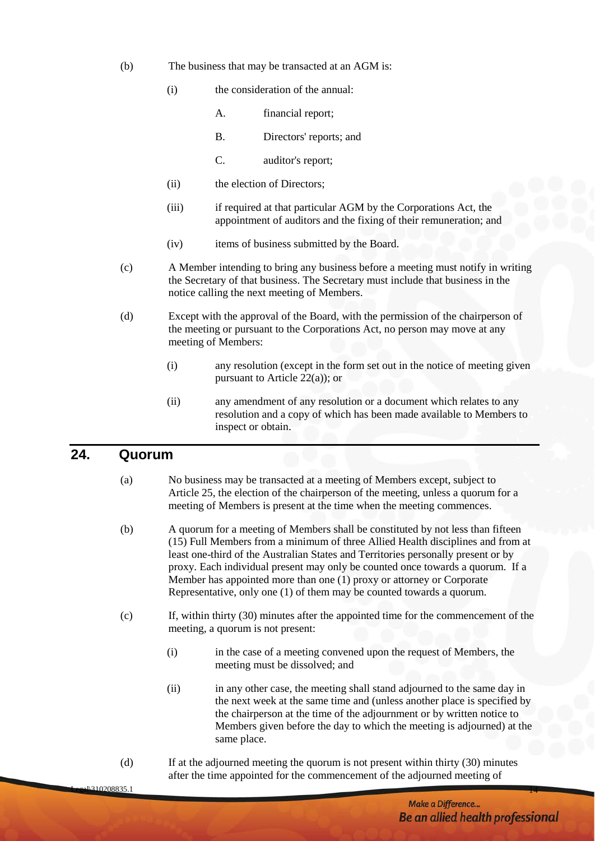- (b) The business that may be transacted at an AGM is:
	- (i) the consideration of the annual:
		- A. financial report;
		- B. Directors' reports; and
		- C. auditor's report;
	- (ii) the election of Directors;
	- (iii) if required at that particular AGM by the Corporations Act, the appointment of auditors and the fixing of their remuneration; and
	- (iv) items of business submitted by the Board.
- (c) A Member intending to bring any business before a meeting must notify in writing the Secretary of that business. The Secretary must include that business in the notice calling the next meeting of Members.
- (d) Except with the approval of the Board, with the permission of the chairperson of the meeting or pursuant to the Corporations Act, no person may move at any meeting of Members:
	- (i) any resolution (except in the form set out in the notice of meeting given pursuant to Article [22\(a\)\)](#page-16-2); or
	- (ii) any amendment of any resolution or a document which relates to any resolution and a copy of which has been made available to Members to inspect or obtain.

# <span id="page-17-0"></span>**24. Quorum**

- (a) No business may be transacted at a meeting of Members except, subject to Article 25, the election of the chairperson of the meeting, unless a quorum for a meeting of Members is present at the time when the meeting commences.
- (b) A quorum for a meeting of Members shall be constituted by not less than fifteen (15) Full Members from a minimum of three Allied Health disciplines and from at least one-third of the Australian States and Territories personally present or by proxy. Each individual present may only be counted once towards a quorum. If a Member has appointed more than one (1) proxy or attorney or Corporate Representative, only one (1) of them may be counted towards a quorum.
- (c) If, within thirty (30) minutes after the appointed time for the commencement of the meeting, a quorum is not present:
	- (i) in the case of a meeting convened upon the request of Members, the meeting must be dissolved; and
	- (ii) in any other case, the meeting shall stand adjourned to the same day in the next week at the same time and (unless another place is specified by the chairperson at the time of the adjournment or by written notice to Members given before the day to which the meeting is adjourned) at the same place.
- (d) If at the adjourned meeting the quorum is not present within thirty (30) minutes after the time appointed for the commencement of the adjourned meeting of

Legal $\backslash$ 310208835.1 14 $^{-14}$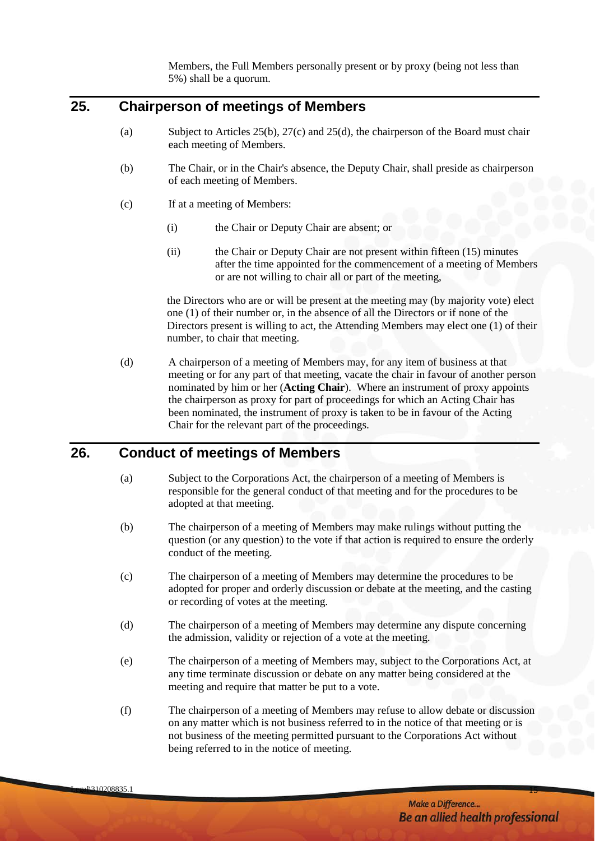Members, the Full Members personally present or by proxy (being not less than 5%) shall be a quorum.

# <span id="page-18-0"></span>**25. Chairperson of meetings of Members**

- (a) Subject to Articles [25\(b\),](#page-18-2) 27(c) and [25\(d\),](#page-18-3) the chairperson of the Board must chair each meeting of Members.
- <span id="page-18-2"></span>(b) The Chair, or in the Chair's absence, the Deputy Chair, shall preside as chairperson of each meeting of Members.
- (c) If at a meeting of Members:
	- (i) the Chair or Deputy Chair are absent; or
	- (ii) the Chair or Deputy Chair are not present within fifteen (15) minutes after the time appointed for the commencement of a meeting of Members or are not willing to chair all or part of the meeting,

the Directors who are or will be present at the meeting may (by majority vote) elect one (1) of their number or, in the absence of all the Directors or if none of the Directors present is willing to act, the Attending Members may elect one (1) of their number, to chair that meeting.

<span id="page-18-3"></span>(d) A chairperson of a meeting of Members may, for any item of business at that meeting or for any part of that meeting, vacate the chair in favour of another person nominated by him or her (**Acting Chair**). Where an instrument of proxy appoints the chairperson as proxy for part of proceedings for which an Acting Chair has been nominated, the instrument of proxy is taken to be in favour of the Acting Chair for the relevant part of the proceedings.

# <span id="page-18-1"></span>**26. Conduct of meetings of Members**

- (a) Subject to the Corporations Act, the chairperson of a meeting of Members is responsible for the general conduct of that meeting and for the procedures to be adopted at that meeting.
- (b) The chairperson of a meeting of Members may make rulings without putting the question (or any question) to the vote if that action is required to ensure the orderly conduct of the meeting.
- (c) The chairperson of a meeting of Members may determine the procedures to be adopted for proper and orderly discussion or debate at the meeting, and the casting or recording of votes at the meeting.
- (d) The chairperson of a meeting of Members may determine any dispute concerning the admission, validity or rejection of a vote at the meeting.
- (e) The chairperson of a meeting of Members may, subject to the Corporations Act, at any time terminate discussion or debate on any matter being considered at the meeting and require that matter be put to a vote.
- (f) The chairperson of a meeting of Members may refuse to allow debate or discussion on any matter which is not business referred to in the notice of that meeting or is not business of the meeting permitted pursuant to the Corporations Act without being referred to in the notice of meeting.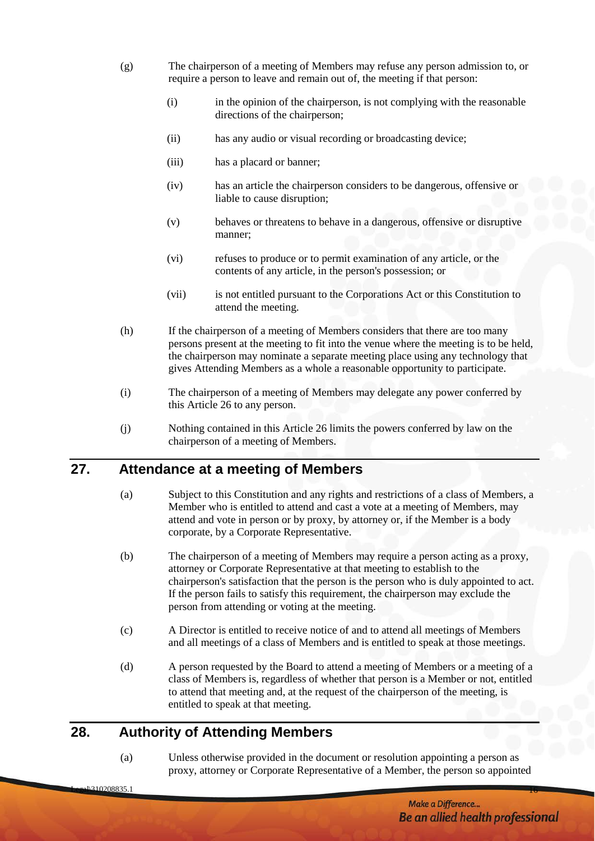- (g) The chairperson of a meeting of Members may refuse any person admission to, or require a person to leave and remain out of, the meeting if that person:
	- (i) in the opinion of the chairperson, is not complying with the reasonable directions of the chairperson;
	- (ii) has any audio or visual recording or broadcasting device;
	- (iii) has a placard or banner;
	- (iv) has an article the chairperson considers to be dangerous, offensive or liable to cause disruption;
	- (v) behaves or threatens to behave in a dangerous, offensive or disruptive manner;
	- (vi) refuses to produce or to permit examination of any article, or the contents of any article, in the person's possession; or
	- (vii) is not entitled pursuant to the Corporations Act or this Constitution to attend the meeting.
- (h) If the chairperson of a meeting of Members considers that there are too many persons present at the meeting to fit into the venue where the meeting is to be held, the chairperson may nominate a separate meeting place using any technology that gives Attending Members as a whole a reasonable opportunity to participate.
- (i) The chairperson of a meeting of Members may delegate any power conferred by this Article [26](#page-18-1) to any person.
- (j) Nothing contained in this Article [26](#page-18-1) limits the powers conferred by law on the chairperson of a meeting of Members.

# <span id="page-19-0"></span>**27. Attendance at a meeting of Members**

- (a) Subject to this Constitution and any rights and restrictions of a class of Members, a Member who is entitled to attend and cast a vote at a meeting of Members, may attend and vote in person or by proxy, by attorney or, if the Member is a body corporate, by a Corporate Representative.
- (b) The chairperson of a meeting of Members may require a person acting as a proxy, attorney or Corporate Representative at that meeting to establish to the chairperson's satisfaction that the person is the person who is duly appointed to act. If the person fails to satisfy this requirement, the chairperson may exclude the person from attending or voting at the meeting.
- (c) A Director is entitled to receive notice of and to attend all meetings of Members and all meetings of a class of Members and is entitled to speak at those meetings.
- (d) A person requested by the Board to attend a meeting of Members or a meeting of a class of Members is, regardless of whether that person is a Member or not, entitled to attend that meeting and, at the request of the chairperson of the meeting, is entitled to speak at that meeting.

# <span id="page-19-1"></span>**28. Authority of Attending Members**

(a) Unless otherwise provided in the document or resolution appointing a person as proxy, attorney or Corporate Representative of a Member, the person so appointed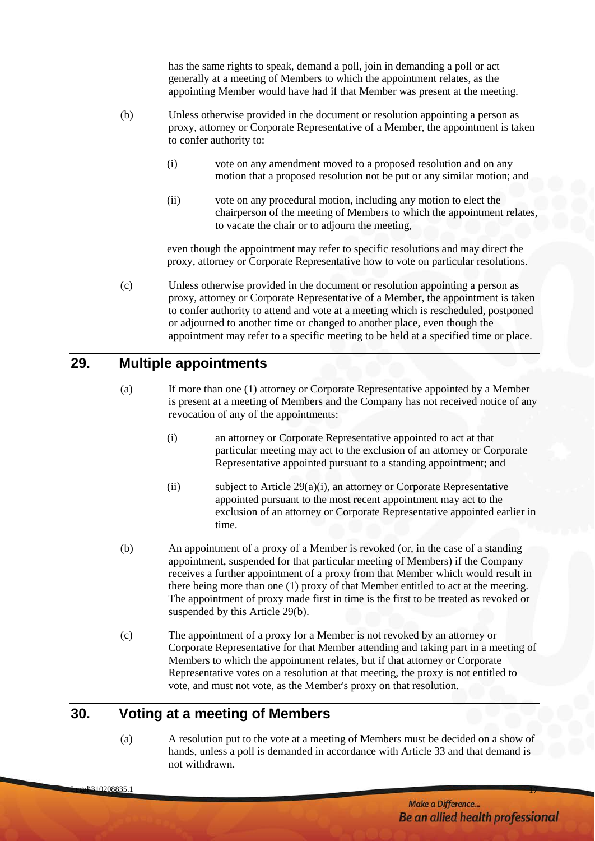has the same rights to speak, demand a poll, join in demanding a poll or act generally at a meeting of Members to which the appointment relates, as the appointing Member would have had if that Member was present at the meeting.

- (b) Unless otherwise provided in the document or resolution appointing a person as proxy, attorney or Corporate Representative of a Member, the appointment is taken to confer authority to:
	- (i) vote on any amendment moved to a proposed resolution and on any motion that a proposed resolution not be put or any similar motion; and
	- (ii) vote on any procedural motion, including any motion to elect the chairperson of the meeting of Members to which the appointment relates, to vacate the chair or to adjourn the meeting,

even though the appointment may refer to specific resolutions and may direct the proxy, attorney or Corporate Representative how to vote on particular resolutions.

(c) Unless otherwise provided in the document or resolution appointing a person as proxy, attorney or Corporate Representative of a Member, the appointment is taken to confer authority to attend and vote at a meeting which is rescheduled, postponed or adjourned to another time or changed to another place, even though the appointment may refer to a specific meeting to be held at a specified time or place.

#### <span id="page-20-0"></span>**29. Multiple appointments**

- <span id="page-20-2"></span>(a) If more than one (1) attorney or Corporate Representative appointed by a Member is present at a meeting of Members and the Company has not received notice of any revocation of any of the appointments:
	- (i) an attorney or Corporate Representative appointed to act at that particular meeting may act to the exclusion of an attorney or Corporate Representative appointed pursuant to a standing appointment; and
	- (ii) subject to Article [29\(a\)\(i\),](#page-20-2) an attorney or Corporate Representative appointed pursuant to the most recent appointment may act to the exclusion of an attorney or Corporate Representative appointed earlier in time.
- <span id="page-20-3"></span>(b) An appointment of a proxy of a Member is revoked (or, in the case of a standing appointment, suspended for that particular meeting of Members) if the Company receives a further appointment of a proxy from that Member which would result in there being more than one (1) proxy of that Member entitled to act at the meeting. The appointment of proxy made first in time is the first to be treated as revoked or suspended by this Article [29\(b\).](#page-20-3)
- (c) The appointment of a proxy for a Member is not revoked by an attorney or Corporate Representative for that Member attending and taking part in a meeting of Members to which the appointment relates, but if that attorney or Corporate Representative votes on a resolution at that meeting, the proxy is not entitled to vote, and must not vote, as the Member's proxy on that resolution.

# <span id="page-20-1"></span>**30. Voting at a meeting of Members**

(a) A resolution put to the vote at a meeting of Members must be decided on a show of hands, unless a poll is demanded in accordance with Article [33](#page-22-1) and that demand is not withdrawn.

 $\Gamma$  , and  $\sim$  170208835.1 170208835.1 170208835.1 170208835.1 170208835.1 170208835.1 170208835.1 170208835.1 170208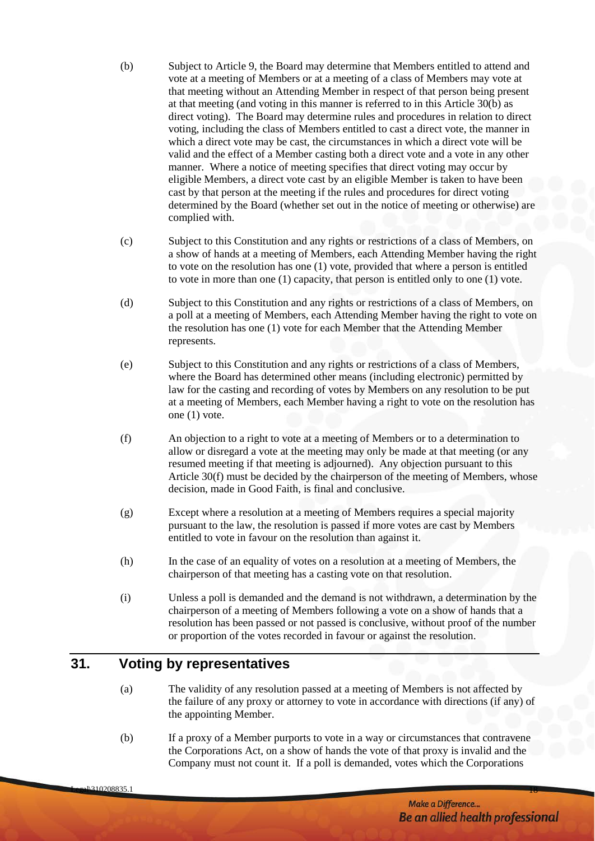- <span id="page-21-1"></span>(b) Subject to Article 9, the Board may determine that Members entitled to attend and vote at a meeting of Members or at a meeting of a class of Members may vote at that meeting without an Attending Member in respect of that person being present at that meeting (and voting in this manner is referred to in this Article [30\(b\)](#page-21-1) as direct voting). The Board may determine rules and procedures in relation to direct voting, including the class of Members entitled to cast a direct vote, the manner in which a direct vote may be cast, the circumstances in which a direct vote will be valid and the effect of a Member casting both a direct vote and a vote in any other manner. Where a notice of meeting specifies that direct voting may occur by eligible Members, a direct vote cast by an eligible Member is taken to have been cast by that person at the meeting if the rules and procedures for direct voting determined by the Board (whether set out in the notice of meeting or otherwise) are complied with.
- (c) Subject to this Constitution and any rights or restrictions of a class of Members, on a show of hands at a meeting of Members, each Attending Member having the right to vote on the resolution has one (1) vote, provided that where a person is entitled to vote in more than one (1) capacity, that person is entitled only to one (1) vote.
- (d) Subject to this Constitution and any rights or restrictions of a class of Members, on a poll at a meeting of Members, each Attending Member having the right to vote on the resolution has one (1) vote for each Member that the Attending Member represents.
- (e) Subject to this Constitution and any rights or restrictions of a class of Members, where the Board has determined other means (including electronic) permitted by law for the casting and recording of votes by Members on any resolution to be put at a meeting of Members, each Member having a right to vote on the resolution has one (1) vote.
- <span id="page-21-2"></span>(f) An objection to a right to vote at a meeting of Members or to a determination to allow or disregard a vote at the meeting may only be made at that meeting (or any resumed meeting if that meeting is adjourned). Any objection pursuant to this Article [30\(f\)](#page-21-2) must be decided by the chairperson of the meeting of Members, whose decision, made in Good Faith, is final and conclusive.
- (g) Except where a resolution at a meeting of Members requires a special majority pursuant to the law, the resolution is passed if more votes are cast by Members entitled to vote in favour on the resolution than against it.
- (h) In the case of an equality of votes on a resolution at a meeting of Members, the chairperson of that meeting has a casting vote on that resolution.
- (i) Unless a poll is demanded and the demand is not withdrawn, a determination by the chairperson of a meeting of Members following a vote on a show of hands that a resolution has been passed or not passed is conclusive, without proof of the number or proportion of the votes recorded in favour or against the resolution.

# <span id="page-21-0"></span>**31. Voting by representatives**

- (a) The validity of any resolution passed at a meeting of Members is not affected by the failure of any proxy or attorney to vote in accordance with directions (if any) of the appointing Member.
- (b) If a proxy of a Member purports to vote in a way or circumstances that contravene the Corporations Act, on a show of hands the vote of that proxy is invalid and the Company must not count it. If a poll is demanded, votes which the Corporations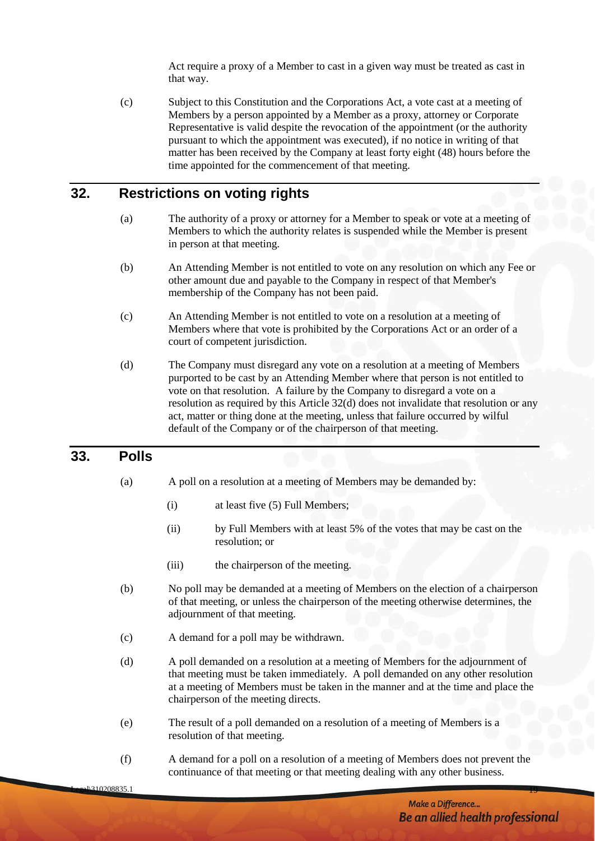Act require a proxy of a Member to cast in a given way must be treated as cast in that way.

(c) Subject to this Constitution and the Corporations Act, a vote cast at a meeting of Members by a person appointed by a Member as a proxy, attorney or Corporate Representative is valid despite the revocation of the appointment (or the authority pursuant to which the appointment was executed), if no notice in writing of that matter has been received by the Company at least forty eight (48) hours before the time appointed for the commencement of that meeting.

# <span id="page-22-0"></span>**32. Restrictions on voting rights**

- (a) The authority of a proxy or attorney for a Member to speak or vote at a meeting of Members to which the authority relates is suspended while the Member is present in person at that meeting.
- (b) An Attending Member is not entitled to vote on any resolution on which any Fee or other amount due and payable to the Company in respect of that Member's membership of the Company has not been paid.
- (c) An Attending Member is not entitled to vote on a resolution at a meeting of Members where that vote is prohibited by the Corporations Act or an order of a court of competent jurisdiction.
- <span id="page-22-2"></span>(d) The Company must disregard any vote on a resolution at a meeting of Members purported to be cast by an Attending Member where that person is not entitled to vote on that resolution. A failure by the Company to disregard a vote on a resolution as required by this Article [32\(d\)](#page-22-2) does not invalidate that resolution or any act, matter or thing done at the meeting, unless that failure occurred by wilful default of the Company or of the chairperson of that meeting.

#### <span id="page-22-1"></span>**33. Polls**

- (a) A poll on a resolution at a meeting of Members may be demanded by:
	- (i) at least five (5) Full Members;
	- (ii) by Full Members with at least 5% of the votes that may be cast on the resolution; or
	- (iii) the chairperson of the meeting.
- (b) No poll may be demanded at a meeting of Members on the election of a chairperson of that meeting, or unless the chairperson of the meeting otherwise determines, the adjournment of that meeting.
- (c) A demand for a poll may be withdrawn.
- (d) A poll demanded on a resolution at a meeting of Members for the adjournment of that meeting must be taken immediately. A poll demanded on any other resolution at a meeting of Members must be taken in the manner and at the time and place the chairperson of the meeting directs.
- (e) The result of a poll demanded on a resolution of a meeting of Members is a resolution of that meeting.
- (f) A demand for a poll on a resolution of a meeting of Members does not prevent the continuance of that meeting or that meeting dealing with any other business.

Legal $\overline{\phantom{a}1310208835.1}$  19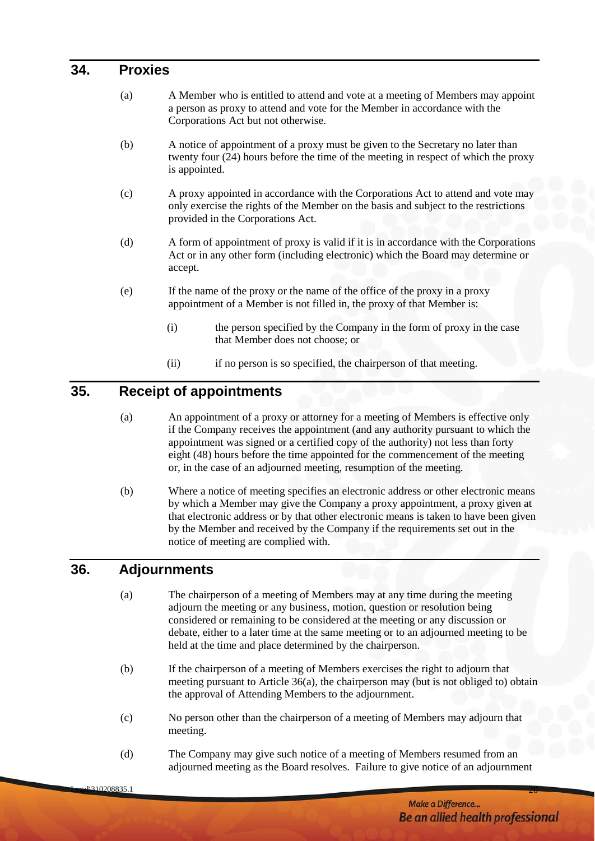#### <span id="page-23-0"></span>**34. Proxies**

- (a) A Member who is entitled to attend and vote at a meeting of Members may appoint a person as proxy to attend and vote for the Member in accordance with the Corporations Act but not otherwise.
- (b) A notice of appointment of a proxy must be given to the Secretary no later than twenty four (24) hours before the time of the meeting in respect of which the proxy is appointed.
- (c) A proxy appointed in accordance with the Corporations Act to attend and vote may only exercise the rights of the Member on the basis and subject to the restrictions provided in the Corporations Act.
- (d) A form of appointment of proxy is valid if it is in accordance with the Corporations Act or in any other form (including electronic) which the Board may determine or accept.
- (e) If the name of the proxy or the name of the office of the proxy in a proxy appointment of a Member is not filled in, the proxy of that Member is:
	- (i) the person specified by the Company in the form of proxy in the case that Member does not choose; or
	- (ii) if no person is so specified, the chairperson of that meeting.

# <span id="page-23-1"></span>**35. Receipt of appointments**

- (a) An appointment of a proxy or attorney for a meeting of Members is effective only if the Company receives the appointment (and any authority pursuant to which the appointment was signed or a certified copy of the authority) not less than forty eight (48) hours before the time appointed for the commencement of the meeting or, in the case of an adjourned meeting, resumption of the meeting.
- (b) Where a notice of meeting specifies an electronic address or other electronic means by which a Member may give the Company a proxy appointment, a proxy given at that electronic address or by that other electronic means is taken to have been given by the Member and received by the Company if the requirements set out in the notice of meeting are complied with.

# <span id="page-23-2"></span>**36. Adjournments**

- (a) The chairperson of a meeting of Members may at any time during the meeting adjourn the meeting or any business, motion, question or resolution being considered or remaining to be considered at the meeting or any discussion or debate, either to a later time at the same meeting or to an adjourned meeting to be held at the time and place determined by the chairperson.
- (b) If the chairperson of a meeting of Members exercises the right to adjourn that meeting pursuant to Article 36(a), the chairperson may (but is not obliged to) obtain the approval of Attending Members to the adjournment.
- (c) No person other than the chairperson of a meeting of Members may adjourn that meeting.
- (d) The Company may give such notice of a meeting of Members resumed from an adjourned meeting as the Board resolves. Failure to give notice of an adjournment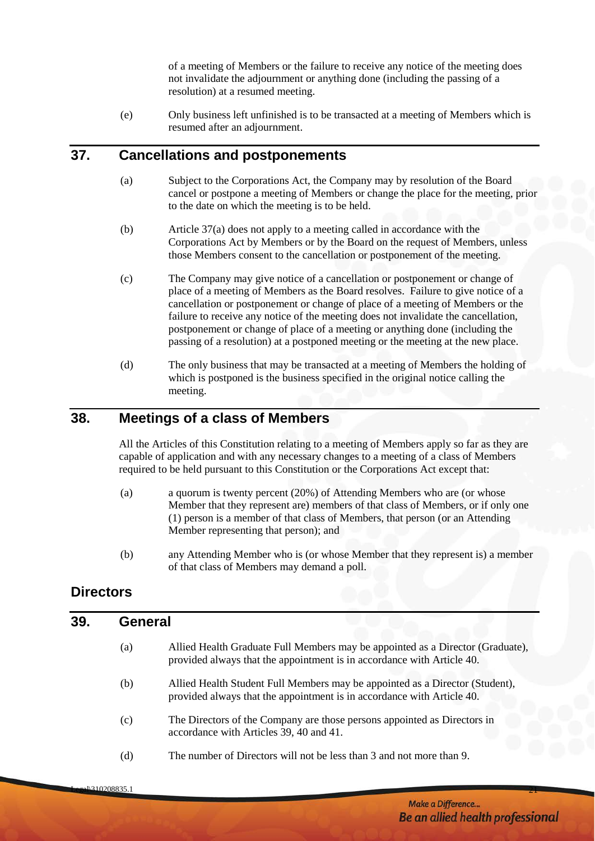of a meeting of Members or the failure to receive any notice of the meeting does not invalidate the adjournment or anything done (including the passing of a resolution) at a resumed meeting.

(e) Only business left unfinished is to be transacted at a meeting of Members which is resumed after an adjournment.

# <span id="page-24-6"></span><span id="page-24-0"></span>**37. Cancellations and postponements**

- (a) Subject to the Corporations Act, the Company may by resolution of the Board cancel or postpone a meeting of Members or change the place for the meeting, prior to the date on which the meeting is to be held.
- (b) Article [37\(a\)](#page-24-6) does not apply to a meeting called in accordance with the Corporations Act by Members or by the Board on the request of Members, unless those Members consent to the cancellation or postponement of the meeting.
- (c) The Company may give notice of a cancellation or postponement or change of place of a meeting of Members as the Board resolves. Failure to give notice of a cancellation or postponement or change of place of a meeting of Members or the failure to receive any notice of the meeting does not invalidate the cancellation, postponement or change of place of a meeting or anything done (including the passing of a resolution) at a postponed meeting or the meeting at the new place.
- (d) The only business that may be transacted at a meeting of Members the holding of which is postponed is the business specified in the original notice calling the meeting.

#### <span id="page-24-1"></span>**38. Meetings of a class of Members**

All the Articles of this Constitution relating to a meeting of Members apply so far as they are capable of application and with any necessary changes to a meeting of a class of Members required to be held pursuant to this Constitution or the Corporations Act except that:

- (a) a quorum is twenty percent (20%) of Attending Members who are (or whose Member that they represent are) members of that class of Members, or if only one (1) person is a member of that class of Members, that person (or an Attending Member representing that person); and
- (b) any Attending Member who is (or whose Member that they represent is) a member of that class of Members may demand a poll.

# <span id="page-24-2"></span>**Directors**

#### <span id="page-24-4"></span><span id="page-24-3"></span>**39. General**

- (a) Allied Health Graduate Full Members may be appointed as a Director (Graduate), provided always that the appointment is in accordance with Article [40.](#page-25-0)
- <span id="page-24-5"></span>(b) Allied Health Student Full Members may be appointed as a Director (Student), provided always that the appointment is in accordance with Article [40.](#page-25-0)
- (c) The Directors of the Company are those persons appointed as Directors in accordance with Articles 39, 40 and 41.
- (d) The number of Directors will not be less than 3 and not more than 9.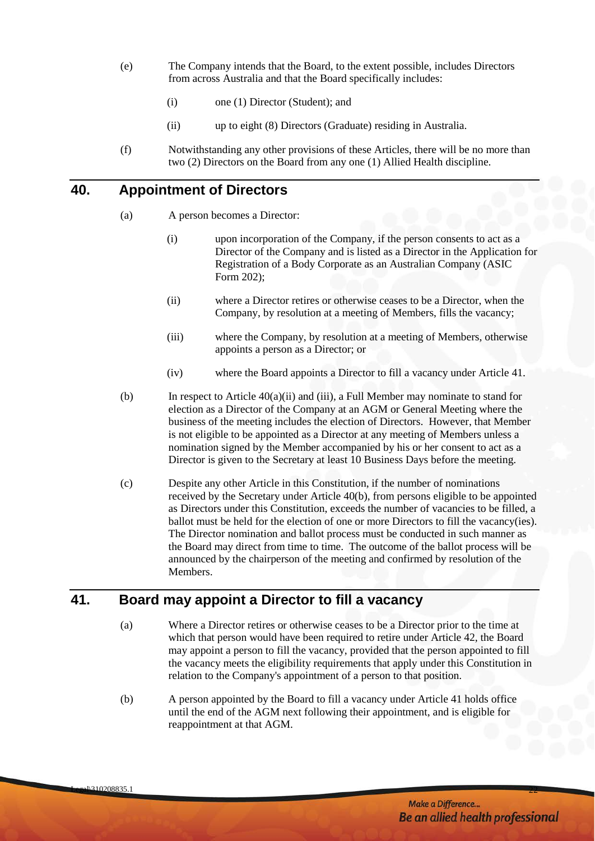- (e) The Company intends that the Board, to the extent possible, includes Directors from across Australia and that the Board specifically includes:
	- (i) one (1) Director (Student); and
	- (ii) up to eight (8) Directors (Graduate) residing in Australia.
- (f) Notwithstanding any other provisions of these Articles, there will be no more than two (2) Directors on the Board from any one (1) Allied Health discipline.

# <span id="page-25-0"></span>**40. Appointment of Directors**

- (a) A person becomes a Director:
	- (i) upon incorporation of the Company, if the person consents to act as a Director of the Company and is listed as a Director in the Application for Registration of a Body Corporate as an Australian Company (ASIC Form 202);
	- (ii) where a Director retires or otherwise ceases to be a Director, when the Company, by resolution at a meeting of Members, fills the vacancy;
	- (iii) where the Company, by resolution at a meeting of Members, otherwise appoints a person as a Director; or
	- (iv) where the Board appoints a Director to fill a vacancy under Article 41.
- (b) In respect to Article  $40(a)(ii)$  and (iii), a Full Member may nominate to stand for election as a Director of the Company at an AGM or General Meeting where the business of the meeting includes the election of Directors. However, that Member is not eligible to be appointed as a Director at any meeting of Members unless a nomination signed by the Member accompanied by his or her consent to act as a Director is given to the Secretary at least 10 Business Days before the meeting.
- (c) Despite any other Article in this Constitution, if the number of nominations received by the Secretary under Article 40(b), from persons eligible to be appointed as Directors under this Constitution, exceeds the number of vacancies to be filled, a ballot must be held for the election of one or more Directors to fill the vacancy(ies). The Director nomination and ballot process must be conducted in such manner as the Board may direct from time to time. The outcome of the ballot process will be announced by the chairperson of the meeting and confirmed by resolution of the Members.

# <span id="page-25-1"></span>**41. Board may appoint a Director to fill a vacancy**

- (a) Where a Director retires or otherwise ceases to be a Director prior to the time at which that person would have been required to retire under Article [42,](#page-26-0) the Board may appoint a person to fill the vacancy, provided that the person appointed to fill the vacancy meets the eligibility requirements that apply under this Constitution in relation to the Company's appointment of a person to that position.
- (b) A person appointed by the Board to fill a vacancy under Article 41 holds office until the end of the AGM next following their appointment, and is eligible for reappointment at that AGM.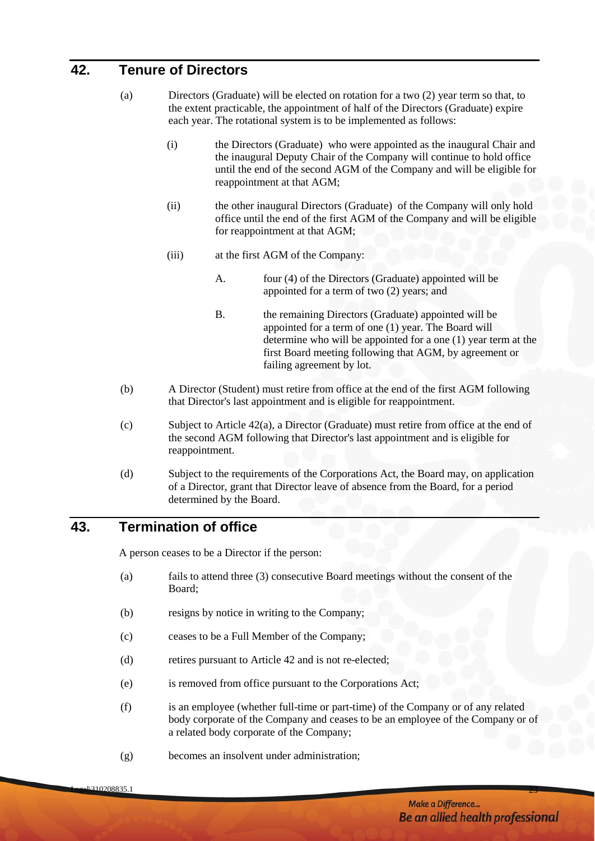# <span id="page-26-0"></span>**42. Tenure of Directors**

- (a) Directors (Graduate) will be elected on rotation for a two (2) year term so that, to the extent practicable, the appointment of half of the Directors (Graduate) expire each year. The rotational system is to be implemented as follows:
	- (i) the Directors (Graduate) who were appointed as the inaugural Chair and the inaugural Deputy Chair of the Company will continue to hold office until the end of the second AGM of the Company and will be eligible for reappointment at that AGM;
	- (ii) the other inaugural Directors (Graduate) of the Company will only hold office until the end of the first AGM of the Company and will be eligible for reappointment at that AGM;
	- (iii) at the first AGM of the Company:
		- A. four (4) of the Directors (Graduate) appointed will be appointed for a term of two (2) years; and
		- B. the remaining Directors (Graduate) appointed will be appointed for a term of one (1) year. The Board will determine who will be appointed for a one (1) year term at the first Board meeting following that AGM, by agreement or failing agreement by lot.
- (b) A Director (Student) must retire from office at the end of the first AGM following that Director's last appointment and is eligible for reappointment.
- (c) Subject to Article 42(a), a Director (Graduate) must retire from office at the end of the second AGM following that Director's last appointment and is eligible for reappointment.
- (d) Subject to the requirements of the Corporations Act, the Board may, on application of a Director, grant that Director leave of absence from the Board, for a period determined by the Board.

# <span id="page-26-1"></span>**43. Termination of office**

A person ceases to be a Director if the person:

- (a) fails to attend three (3) consecutive Board meetings without the consent of the Board;
- (b) resigns by notice in writing to the Company;
- (c) ceases to be a Full Member of the Company;
- (d) retires pursuant to Article 42 and is not re-elected;
- (e) is removed from office pursuant to the Corporations Act;
- (f) is an employee (whether full-time or part-time) of the Company or of any related body corporate of the Company and ceases to be an employee of the Company or of a related body corporate of the Company;
- (g) becomes an insolvent under administration;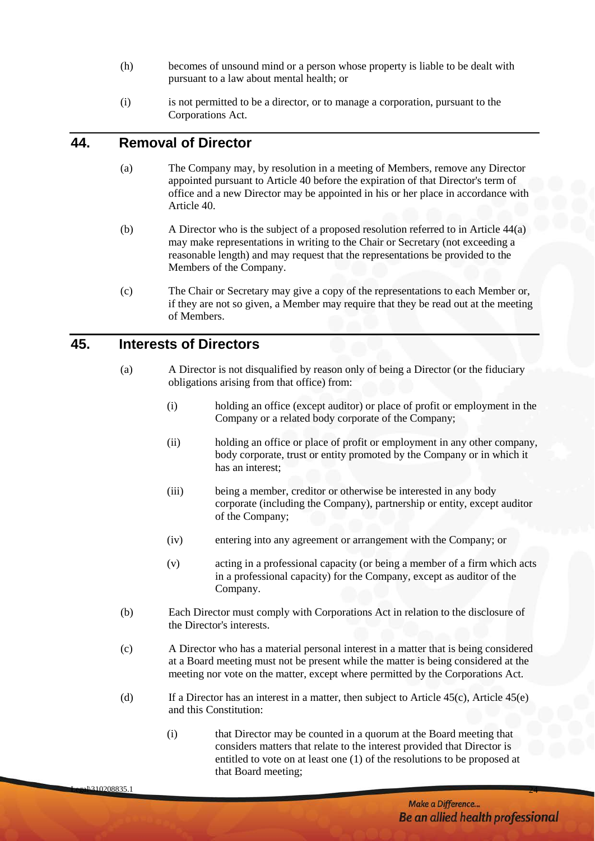- (h) becomes of unsound mind or a person whose property is liable to be dealt with pursuant to a law about mental health; or
- (i) is not permitted to be a director, or to manage a corporation, pursuant to the Corporations Act.

# <span id="page-27-0"></span>**44. Removal of Director**

- (a) The Company may, by resolution in a meeting of Members, remove any Director appointed pursuant to Article 40 before the expiration of that Director's term of office and a new Director may be appointed in his or her place in accordance with Article 40.
- (b) A Director who is the subject of a proposed resolution referred to in Article 44(a) may make representations in writing to the Chair or Secretary (not exceeding a reasonable length) and may request that the representations be provided to the Members of the Company.
- (c) The Chair or Secretary may give a copy of the representations to each Member or, if they are not so given, a Member may require that they be read out at the meeting of Members.

#### <span id="page-27-1"></span>**45. Interests of Directors**

- (a) A Director is not disqualified by reason only of being a Director (or the fiduciary obligations arising from that office) from:
	- (i) holding an office (except auditor) or place of profit or employment in the Company or a related body corporate of the Company;
	- (ii) holding an office or place of profit or employment in any other company, body corporate, trust or entity promoted by the Company or in which it has an interest;
	- (iii) being a member, creditor or otherwise be interested in any body corporate (including the Company), partnership or entity, except auditor of the Company;
	- (iv) entering into any agreement or arrangement with the Company; or
	- (v) acting in a professional capacity (or being a member of a firm which acts in a professional capacity) for the Company, except as auditor of the Company.
- <span id="page-27-3"></span>(b) Each Director must comply with Corporations Act in relation to the disclosure of the Director's interests.
- <span id="page-27-2"></span>(c) A Director who has a material personal interest in a matter that is being considered at a Board meeting must not be present while the matter is being considered at the meeting nor vote on the matter, except where permitted by the Corporations Act.
- (d) If a Director has an interest in a matter, then subject to Article  $45(c)$ , Article  $45(e)$ and this Constitution:
	- (i) that Director may be counted in a quorum at the Board meeting that considers matters that relate to the interest provided that Director is entitled to vote on at least one (1) of the resolutions to be proposed at that Board meeting;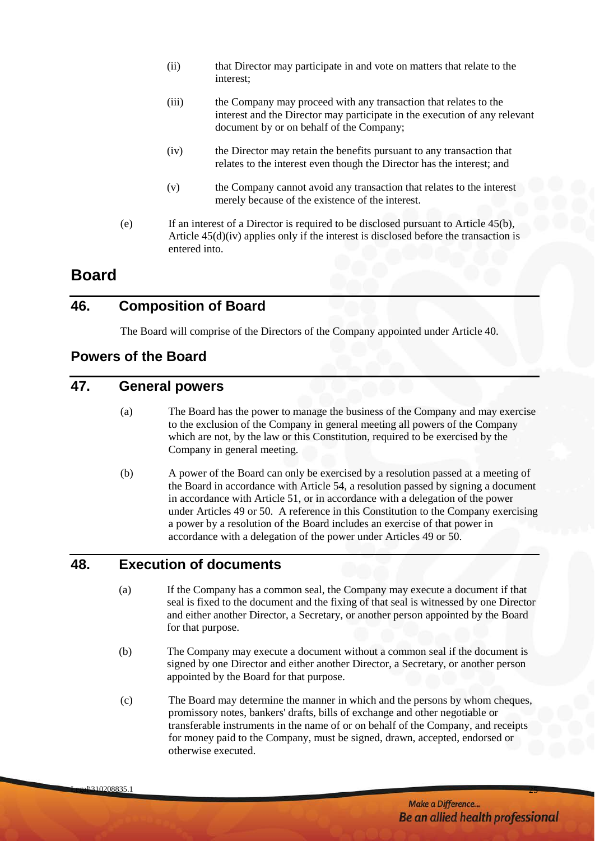- (ii) that Director may participate in and vote on matters that relate to the interest;
- (iii) the Company may proceed with any transaction that relates to the interest and the Director may participate in the execution of any relevant document by or on behalf of the Company;
- (iv) the Director may retain the benefits pursuant to any transaction that relates to the interest even though the Director has the interest; and
- (v) the Company cannot avoid any transaction that relates to the interest merely because of the existence of the interest.
- <span id="page-28-6"></span>(e) If an interest of a Director is required to be disclosed pursuant to Article [45\(b\),](#page-27-3) Article [45\(d\)\(iv\)](#page-28-6) applies only if the interest is disclosed before the transaction is entered into.

# <span id="page-28-5"></span><span id="page-28-0"></span>**Board**

# <span id="page-28-1"></span>**46. Composition of Board**

The Board will comprise of the Directors of the Company appointed under Article 40.

# <span id="page-28-2"></span>**Powers of the Board**

# <span id="page-28-3"></span>**47. General powers**

- (a) The Board has the power to manage the business of the Company and may exercise to the exclusion of the Company in general meeting all powers of the Company which are not, by the law or this Constitution, required to be exercised by the Company in general meeting.
- (b) A power of the Board can only be exercised by a resolution passed at a meeting of the Board in accordance with Article 54, a resolution passed by signing a document in accordance with Article 51, or in accordance with a delegation of the power under Articles 49 or 50. A reference in this Constitution to the Company exercising a power by a resolution of the Board includes an exercise of that power in accordance with a delegation of the power under Articles 49 or 50.

# <span id="page-28-4"></span>**48. Execution of documents**

- (a) If the Company has a common seal, the Company may execute a document if that seal is fixed to the document and the fixing of that seal is witnessed by one Director and either another Director, a Secretary, or another person appointed by the Board for that purpose.
- (b) The Company may execute a document without a common seal if the document is signed by one Director and either another Director, a Secretary, or another person appointed by the Board for that purpose.
- (c) The Board may determine the manner in which and the persons by whom cheques, promissory notes, bankers' drafts, bills of exchange and other negotiable or transferable instruments in the name of or on behalf of the Company, and receipts for money paid to the Company, must be signed, drawn, accepted, endorsed or otherwise executed.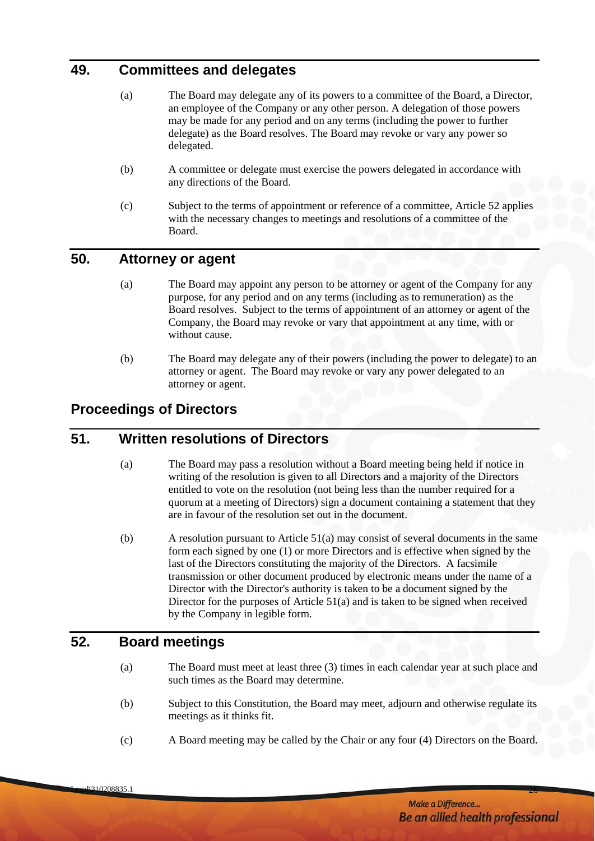# <span id="page-29-0"></span>**49. Committees and delegates**

- (a) The Board may delegate any of its powers to a committee of the Board, a Director, an employee of the Company or any other person. A delegation of those powers may be made for any period and on any terms (including the power to further delegate) as the Board resolves. The Board may revoke or vary any power so delegated.
- (b) A committee or delegate must exercise the powers delegated in accordance with any directions of the Board.
- (c) Subject to the terms of appointment or reference of a committee, Article 52 applies with the necessary changes to meetings and resolutions of a committee of the Board.

# <span id="page-29-1"></span>**50. Attorney or agent**

- (a) The Board may appoint any person to be attorney or agent of the Company for any purpose, for any period and on any terms (including as to remuneration) as the Board resolves. Subject to the terms of appointment of an attorney or agent of the Company, the Board may revoke or vary that appointment at any time, with or without cause.
- (b) The Board may delegate any of their powers (including the power to delegate) to an attorney or agent. The Board may revoke or vary any power delegated to an attorney or agent.

# **Proceedings of Directors**

#### <span id="page-29-4"></span><span id="page-29-2"></span>**51. Written resolutions of Directors**

- (a) The Board may pass a resolution without a Board meeting being held if notice in writing of the resolution is given to all Directors and a majority of the Directors entitled to vote on the resolution (not being less than the number required for a quorum at a meeting of Directors) sign a document containing a statement that they are in favour of the resolution set out in the document.
- (b) A resolution pursuant to Article [51\(a\)](#page-29-4) may consist of several documents in the same form each signed by one (1) or more Directors and is effective when signed by the last of the Directors constituting the majority of the Directors. A facsimile transmission or other document produced by electronic means under the name of a Director with the Director's authority is taken to be a document signed by the Director for the purposes of Article [51\(a\)](#page-29-4) and is taken to be signed when received by the Company in legible form.

#### <span id="page-29-3"></span>**52. Board meetings**

- (a) The Board must meet at least three (3) times in each calendar year at such place and such times as the Board may determine.
- (b) Subject to this Constitution, the Board may meet, adjourn and otherwise regulate its meetings as it thinks fit.
- (c) A Board meeting may be called by the Chair or any four (4) Directors on the Board.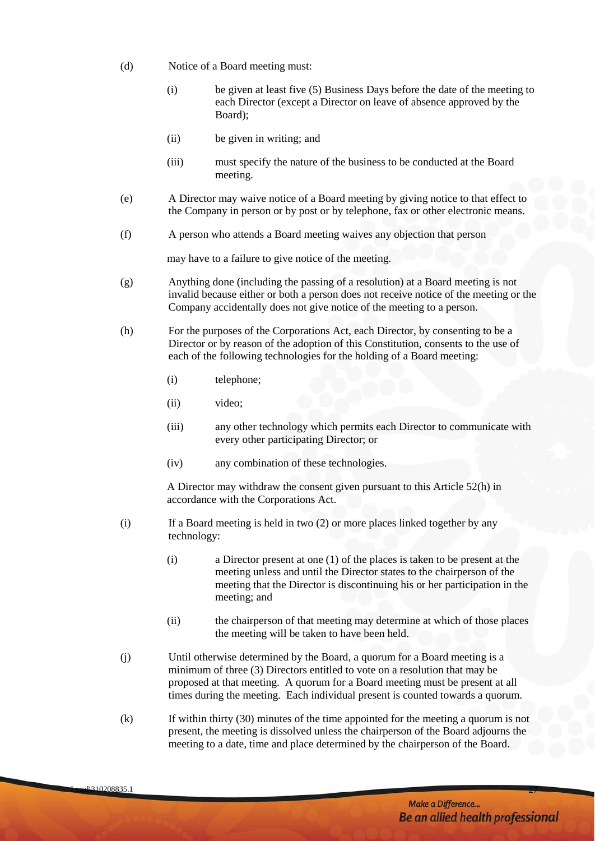- (d) Notice of a Board meeting must:
	- (i) be given at least five (5) Business Days before the date of the meeting to each Director (except a Director on leave of absence approved by the Board);
	- (ii) be given in writing; and
	- (iii) must specify the nature of the business to be conducted at the Board meeting.
- (e) A Director may waive notice of a Board meeting by giving notice to that effect to the Company in person or by post or by telephone, fax or other electronic means.
- (f) A person who attends a Board meeting waives any objection that person

may have to a failure to give notice of the meeting.

- (g) Anything done (including the passing of a resolution) at a Board meeting is not invalid because either or both a person does not receive notice of the meeting or the Company accidentally does not give notice of the meeting to a person.
- <span id="page-30-0"></span>(h) For the purposes of the Corporations Act, each Director, by consenting to be a Director or by reason of the adoption of this Constitution, consents to the use of each of the following technologies for the holding of a Board meeting:
	- (i) telephone;
	- (ii) video;
	- (iii) any other technology which permits each Director to communicate with every other participating Director; or
	- (iv) any combination of these technologies.

A Director may withdraw the consent given pursuant to this Article [52\(h\)](#page-30-0) in accordance with the Corporations Act.

- (i) If a Board meeting is held in two (2) or more places linked together by any technology:
	- (i) a Director present at one (1) of the places is taken to be present at the meeting unless and until the Director states to the chairperson of the meeting that the Director is discontinuing his or her participation in the meeting; and
	- (ii) the chairperson of that meeting may determine at which of those places the meeting will be taken to have been held.
- (j) Until otherwise determined by the Board, a quorum for a Board meeting is a minimum of three (3) Directors entitled to vote on a resolution that may be proposed at that meeting. A quorum for a Board meeting must be present at all times during the meeting. Each individual present is counted towards a quorum.
- (k) If within thirty (30) minutes of the time appointed for the meeting a quorum is not present, the meeting is dissolved unless the chairperson of the Board adjourns the meeting to a date, time and place determined by the chairperson of the Board.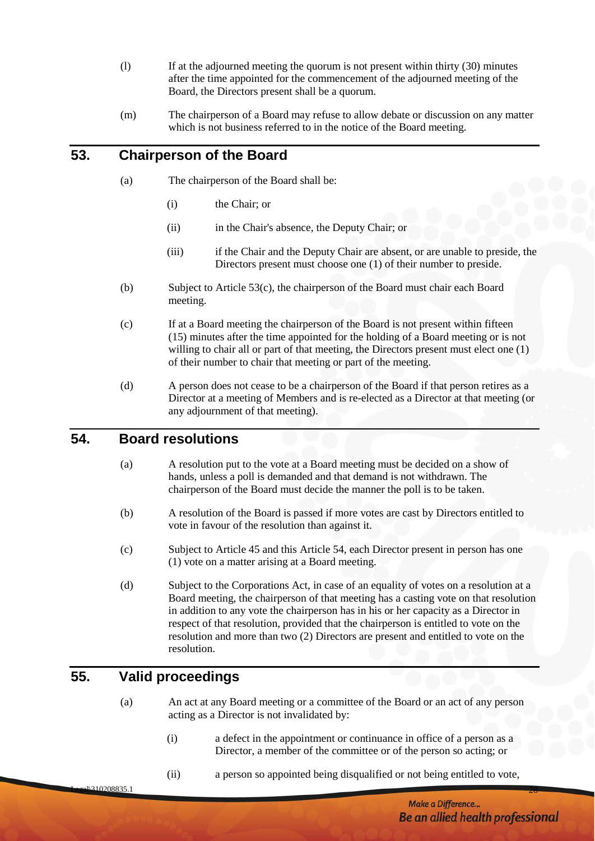- (l) If at the adjourned meeting the quorum is not present within thirty (30) minutes after the time appointed for the commencement of the adjourned meeting of the Board, the Directors present shall be a quorum.
- (m) The chairperson of a Board may refuse to allow debate or discussion on any matter which is not business referred to in the notice of the Board meeting.

# <span id="page-31-0"></span>**53. Chairperson of the Board**

- (a) The chairperson of the Board shall be:
	- (i) the Chair; or
	- (ii) in the Chair's absence, the Deputy Chair; or
	- (iii) if the Chair and the Deputy Chair are absent, or are unable to preside, the Directors present must choose one (1) of their number to preside.
- (b) Subject to Article [53\(c\),](#page-31-3) the chairperson of the Board must chair each Board meeting.
- <span id="page-31-3"></span>(c) If at a Board meeting the chairperson of the Board is not present within fifteen (15) minutes after the time appointed for the holding of a Board meeting or is not willing to chair all or part of that meeting, the Directors present must elect one (1) of their number to chair that meeting or part of the meeting.
- (d) A person does not cease to be a chairperson of the Board if that person retires as a Director at a meeting of Members and is re-elected as a Director at that meeting (or any adjournment of that meeting).

#### <span id="page-31-1"></span>**54. Board resolutions**

- (a) A resolution put to the vote at a Board meeting must be decided on a show of hands, unless a poll is demanded and that demand is not withdrawn. The chairperson of the Board must decide the manner the poll is to be taken.
- (b) A resolution of the Board is passed if more votes are cast by Directors entitled to vote in favour of the resolution than against it.
- (c) Subject to Article 45 and this Article 54, each Director present in person has one (1) vote on a matter arising at a Board meeting.
- (d) Subject to the Corporations Act, in case of an equality of votes on a resolution at a Board meeting, the chairperson of that meeting has a casting vote on that resolution in addition to any vote the chairperson has in his or her capacity as a Director in respect of that resolution, provided that the chairperson is entitled to vote on the resolution and more than two (2) Directors are present and entitled to vote on the resolution.

# <span id="page-31-2"></span>**55. Valid proceedings**

(a) An act at any Board meeting or a committee of the Board or an act of any person acting as a Director is not invalidated by:

- (i) a defect in the appointment or continuance in office of a person as a Director, a member of the committee or of the person so acting; or
- (ii) a person so appointed being disqualified or not being entitled to vote,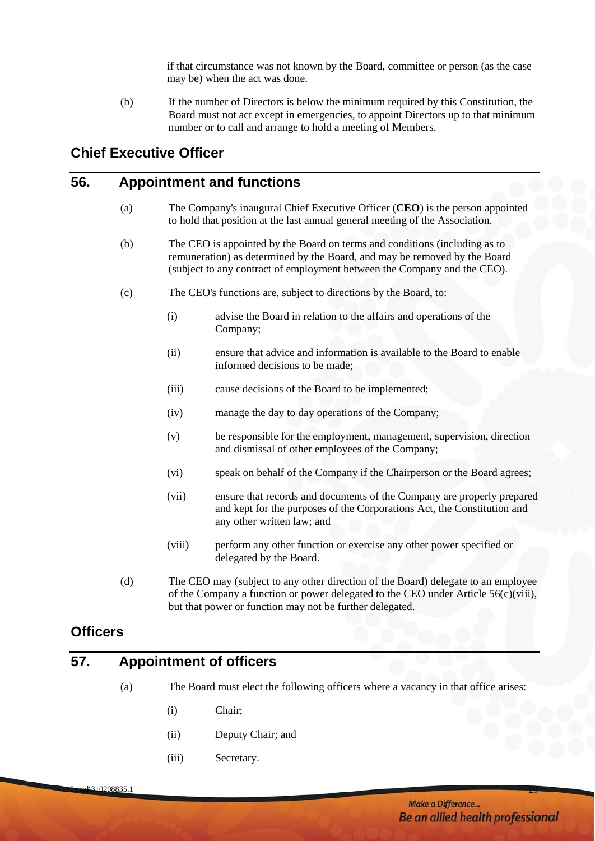if that circumstance was not known by the Board, committee or person (as the case may be) when the act was done.

(b) If the number of Directors is below the minimum required by this Constitution, the Board must not act except in emergencies, to appoint Directors up to that minimum number or to call and arrange to hold a meeting of Members.

# <span id="page-32-0"></span>**Chief Executive Officer**

#### <span id="page-32-1"></span>**56. Appointment and functions**

- (a) The Company's inaugural Chief Executive Officer (**CEO**) is the person appointed to hold that position at the last annual general meeting of the Association.
- (b) The CEO is appointed by the Board on terms and conditions (including as to remuneration) as determined by the Board, and may be removed by the Board (subject to any contract of employment between the Company and the CEO).
- (c) The CEO's functions are, subject to directions by the Board, to:
	- (i) advise the Board in relation to the affairs and operations of the Company;
	- (ii) ensure that advice and information is available to the Board to enable informed decisions to be made;
	- (iii) cause decisions of the Board to be implemented;
	- (iv) manage the day to day operations of the Company;
	- (v) be responsible for the employment, management, supervision, direction and dismissal of other employees of the Company;
	- (vi) speak on behalf of the Company if the Chairperson or the Board agrees;
	- (vii) ensure that records and documents of the Company are properly prepared and kept for the purposes of the Corporations Act, the Constitution and any other written law; and
	- (viii) perform any other function or exercise any other power specified or delegated by the Board.
- <span id="page-32-4"></span>(d) The CEO may (subject to any other direction of the Board) delegate to an employee of the Company a function or power delegated to the CEO under Article  $56(c)(viii)$ , but that power or function may not be further delegated.

# <span id="page-32-2"></span>**Officers**

# <span id="page-32-3"></span>**57. Appointment of officers**

- (a) The Board must elect the following officers where a vacancy in that office arises:
	- (i) Chair;
	- (ii) Deputy Chair; and
	- (iii) Secretary.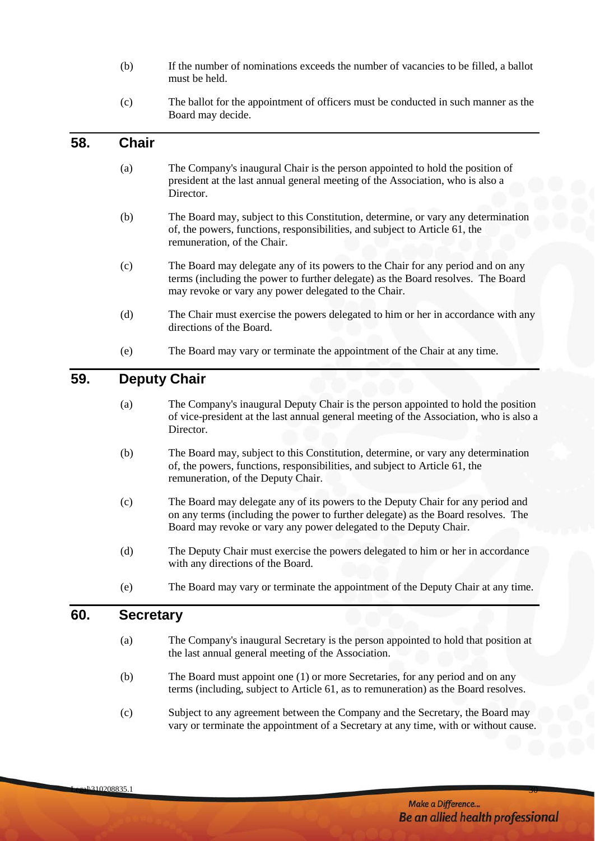- (b) If the number of nominations exceeds the number of vacancies to be filled, a ballot must be held.
- (c) The ballot for the appointment of officers must be conducted in such manner as the Board may decide.

#### <span id="page-33-0"></span>**58. Chair**

- (a) The Company's inaugural Chair is the person appointed to hold the position of president at the last annual general meeting of the Association, who is also a **Director**
- (b) The Board may, subject to this Constitution, determine, or vary any determination of, the powers, functions, responsibilities, and subject to Article 61, the remuneration, of the Chair.
- (c) The Board may delegate any of its powers to the Chair for any period and on any terms (including the power to further delegate) as the Board resolves. The Board may revoke or vary any power delegated to the Chair.
- (d) The Chair must exercise the powers delegated to him or her in accordance with any directions of the Board.
- (e) The Board may vary or terminate the appointment of the Chair at any time.

# <span id="page-33-1"></span>**59. Deputy Chair**

- (a) The Company's inaugural Deputy Chair is the person appointed to hold the position of vice-president at the last annual general meeting of the Association, who is also a Director.
- (b) The Board may, subject to this Constitution, determine, or vary any determination of, the powers, functions, responsibilities, and subject to Article 61, the remuneration, of the Deputy Chair.
- (c) The Board may delegate any of its powers to the Deputy Chair for any period and on any terms (including the power to further delegate) as the Board resolves. The Board may revoke or vary any power delegated to the Deputy Chair.
- (d) The Deputy Chair must exercise the powers delegated to him or her in accordance with any directions of the Board.
- (e) The Board may vary or terminate the appointment of the Deputy Chair at any time.

#### <span id="page-33-2"></span>**60. Secretary**

- (a) The Company's inaugural Secretary is the person appointed to hold that position at the last annual general meeting of the Association.
- (b) The Board must appoint one (1) or more Secretaries, for any period and on any terms (including, subject to Article 61, as to remuneration) as the Board resolves.
- (c) Subject to any agreement between the Company and the Secretary, the Board may vary or terminate the appointment of a Secretary at any time, with or without cause.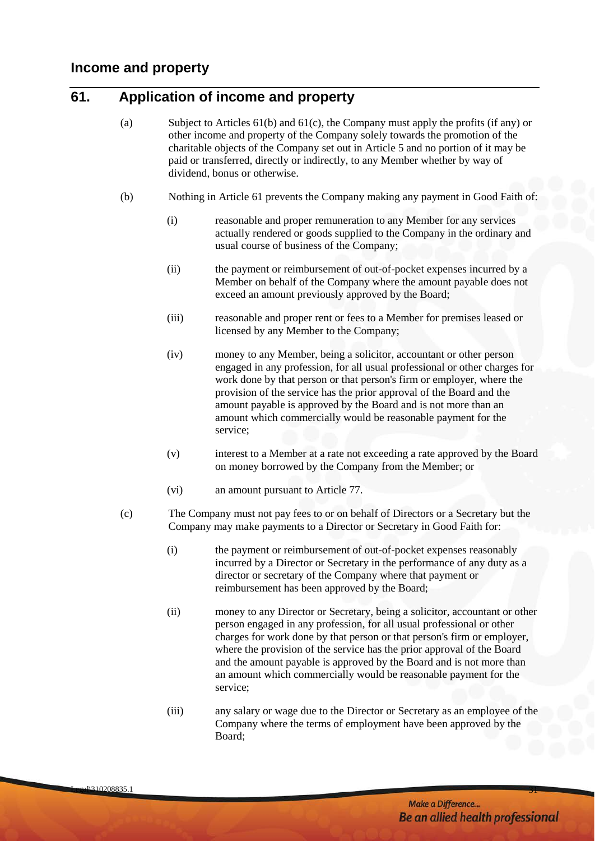# <span id="page-34-1"></span><span id="page-34-0"></span>**61. Application of income and property**

- (a) Subject to Articles [61\(b\)](#page-34-2) and [61\(c\),](#page-34-3) the Company must apply the profits (if any) or other income and property of the Company solely towards the promotion of the charitable objects of the Company set out in Article [5](#page-7-2) and no portion of it may be paid or transferred, directly or indirectly, to any Member whether by way of dividend, bonus or otherwise.
- <span id="page-34-2"></span>(b) Nothing in Article 61 prevents the Company making any payment in Good Faith of:
	- (i) reasonable and proper remuneration to any Member for any services actually rendered or goods supplied to the Company in the ordinary and usual course of business of the Company;
	- (ii) the payment or reimbursement of out-of-pocket expenses incurred by a Member on behalf of the Company where the amount payable does not exceed an amount previously approved by the Board;
	- (iii) reasonable and proper rent or fees to a Member for premises leased or licensed by any Member to the Company;
	- (iv) money to any Member, being a solicitor, accountant or other person engaged in any profession, for all usual professional or other charges for work done by that person or that person's firm or employer, where the provision of the service has the prior approval of the Board and the amount payable is approved by the Board and is not more than an amount which commercially would be reasonable payment for the service;
	- (v) interest to a Member at a rate not exceeding a rate approved by the Board on money borrowed by the Company from the Member; or
	- (vi) an amount pursuant to Article 77.
- <span id="page-34-3"></span>(c) The Company must not pay fees to or on behalf of Directors or a Secretary but the Company may make payments to a Director or Secretary in Good Faith for:
	- (i) the payment or reimbursement of out-of-pocket expenses reasonably incurred by a Director or Secretary in the performance of any duty as a director or secretary of the Company where that payment or reimbursement has been approved by the Board;
	- (ii) money to any Director or Secretary, being a solicitor, accountant or other person engaged in any profession, for all usual professional or other charges for work done by that person or that person's firm or employer, where the provision of the service has the prior approval of the Board and the amount payable is approved by the Board and is not more than an amount which commercially would be reasonable payment for the service;
	- (iii) any salary or wage due to the Director or Secretary as an employee of the Company where the terms of employment have been approved by the Board;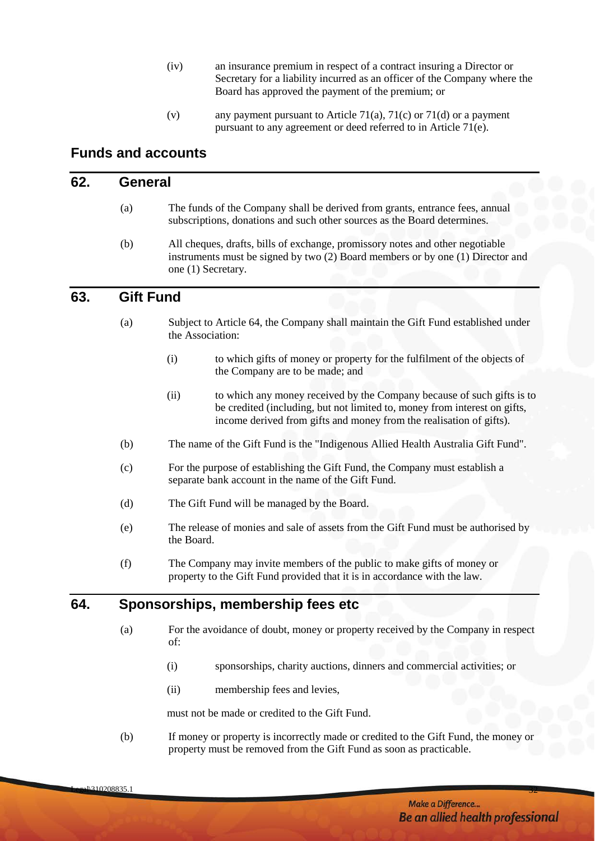- (iv) an insurance premium in respect of a contract insuring a Director or Secretary for a liability incurred as an officer of the Company where the Board has approved the payment of the premium; or
- (v) any payment pursuant to Article [71\(a\),](#page-38-2) [71\(c\)](#page-38-3) or [71\(d\)](#page-38-4) or a payment pursuant to any agreement or deed referred to in Article [71\(e\).](#page-38-5)

# <span id="page-35-0"></span>**Funds and accounts**

#### <span id="page-35-1"></span>**62. General**

- (a) The funds of the Company shall be derived from grants, entrance fees, annual subscriptions, donations and such other sources as the Board determines.
- (b) All cheques, drafts, bills of exchange, promissory notes and other negotiable instruments must be signed by two (2) Board members or by one (1) Director and one (1) Secretary.

# <span id="page-35-2"></span>**63. Gift Fund**

- (a) Subject to Article 64, the Company shall maintain the Gift Fund established under the Association:
	- (i) to which gifts of money or property for the fulfilment of the objects of the Company are to be made; and
	- (ii) to which any money received by the Company because of such gifts is to be credited (including, but not limited to, money from interest on gifts, income derived from gifts and money from the realisation of gifts).
- (b) The name of the Gift Fund is the "Indigenous Allied Health Australia Gift Fund".
- (c) For the purpose of establishing the Gift Fund, the Company must establish a separate bank account in the name of the Gift Fund.
- (d) The Gift Fund will be managed by the Board.
- (e) The release of monies and sale of assets from the Gift Fund must be authorised by the Board.
- (f) The Company may invite members of the public to make gifts of money or property to the Gift Fund provided that it is in accordance with the law.

#### <span id="page-35-3"></span>**64. Sponsorships, membership fees etc**

- (a) For the avoidance of doubt, money or property received by the Company in respect of:
	- (i) sponsorships, charity auctions, dinners and commercial activities; or
	- (ii) membership fees and levies,

must not be made or credited to the Gift Fund.

(b) If money or property is incorrectly made or credited to the Gift Fund, the money or property must be removed from the Gift Fund as soon as practicable.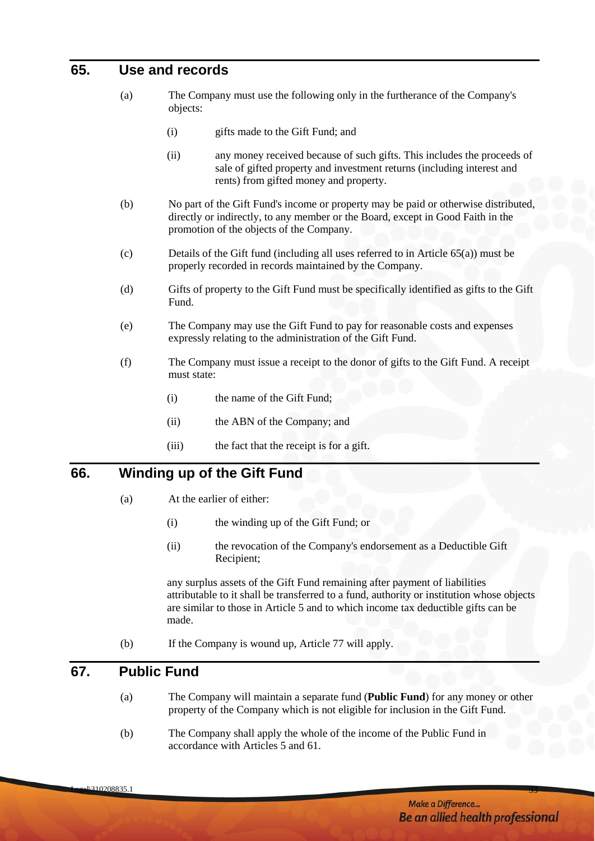# <span id="page-36-3"></span><span id="page-36-0"></span>**65. Use and records**

- (a) The Company must use the following only in the furtherance of the Company's objects:
	- (i) gifts made to the Gift Fund; and
	- (ii) any money received because of such gifts. This includes the proceeds of sale of gifted property and investment returns (including interest and rents) from gifted money and property.
- (b) No part of the Gift Fund's income or property may be paid or otherwise distributed, directly or indirectly, to any member or the Board, except in Good Faith in the promotion of the objects of the Company.
- (c) Details of the Gift fund (including all uses referred to in Article [65\(a\)\)](#page-36-3) must be properly recorded in records maintained by the Company.
- (d) Gifts of property to the Gift Fund must be specifically identified as gifts to the Gift Fund.
- (e) The Company may use the Gift Fund to pay for reasonable costs and expenses expressly relating to the administration of the Gift Fund.
- (f) The Company must issue a receipt to the donor of gifts to the Gift Fund. A receipt must state:
	- (i) the name of the Gift Fund;
	- (ii) the ABN of the Company; and
	- (iii) the fact that the receipt is for a gift.

#### <span id="page-36-1"></span>**66. Winding up of the Gift Fund**

- (a) At the earlier of either:
	- (i) the winding up of the Gift Fund; or
	- (ii) the revocation of the Company's endorsement as a Deductible Gift Recipient;

any surplus assets of the Gift Fund remaining after payment of liabilities attributable to it shall be transferred to a fund, authority or institution whose objects are similar to those in Articl[e 5](#page-7-2) and to which income tax deductible gifts can be made.

(b) If the Company is wound up, Article 77 will apply.

#### <span id="page-36-2"></span>**67. Public Fund**

- (a) The Company will maintain a separate fund (**Public Fund**) for any money or other property of the Company which is not eligible for inclusion in the Gift Fund.
- (b) The Company shall apply the whole of the income of the Public Fund in accordance with Articles [5](#page-7-2) and 61.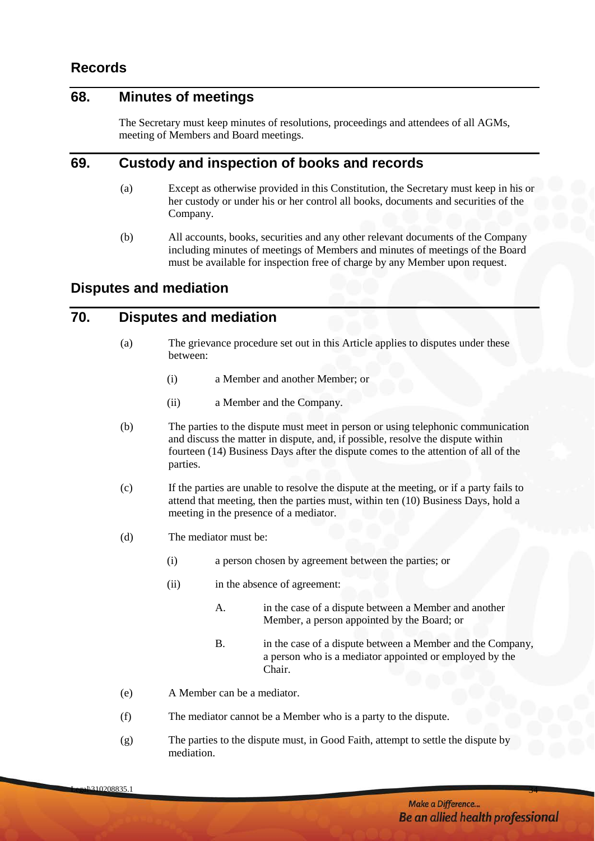# <span id="page-37-0"></span>**Records**

# <span id="page-37-1"></span>**68. Minutes of meetings**

The Secretary must keep minutes of resolutions, proceedings and attendees of all AGMs, meeting of Members and Board meetings.

# <span id="page-37-2"></span>**69. Custody and inspection of books and records**

- (a) Except as otherwise provided in this Constitution, the Secretary must keep in his or her custody or under his or her control all books, documents and securities of the Company.
- (b) All accounts, books, securities and any other relevant documents of the Company including minutes of meetings of Members and minutes of meetings of the Board must be available for inspection free of charge by any Member upon request.

#### <span id="page-37-3"></span>**Disputes and mediation**

# <span id="page-37-4"></span>**70. Disputes and mediation**

- (a) The grievance procedure set out in this Article applies to disputes under these between:
	- (i) a Member and another Member; or
	- (ii) a Member and the Company.
- (b) The parties to the dispute must meet in person or using telephonic communication and discuss the matter in dispute, and, if possible, resolve the dispute within fourteen (14) Business Days after the dispute comes to the attention of all of the parties.
- (c) If the parties are unable to resolve the dispute at the meeting, or if a party fails to attend that meeting, then the parties must, within ten (10) Business Days, hold a meeting in the presence of a mediator.
- (d) The mediator must be:
	- (i) a person chosen by agreement between the parties; or
	- (ii) in the absence of agreement:
		- A. in the case of a dispute between a Member and another Member, a person appointed by the Board; or
		- B. in the case of a dispute between a Member and the Company, a person who is a mediator appointed or employed by the Chair.
- (e) A Member can be a mediator.
- (f) The mediator cannot be a Member who is a party to the dispute.
- (g) The parties to the dispute must, in Good Faith, attempt to settle the dispute by mediation.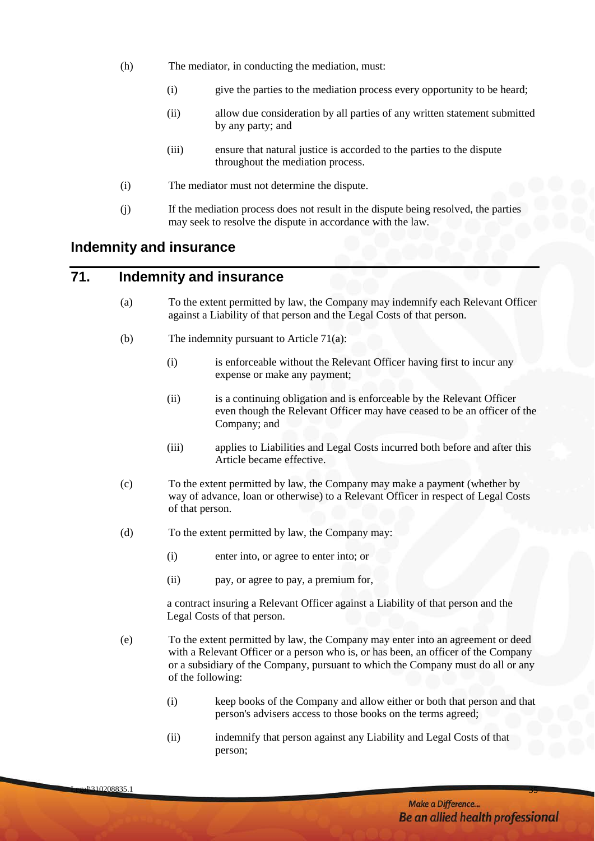- (h) The mediator, in conducting the mediation, must:
	- (i) give the parties to the mediation process every opportunity to be heard;
	- (ii) allow due consideration by all parties of any written statement submitted by any party; and
	- (iii) ensure that natural justice is accorded to the parties to the dispute throughout the mediation process.
- (i) The mediator must not determine the dispute.
- (j) If the mediation process does not result in the dispute being resolved, the parties may seek to resolve the dispute in accordance with the law.

#### <span id="page-38-0"></span>**Indemnity and insurance**

# <span id="page-38-2"></span><span id="page-38-1"></span>**71. Indemnity and insurance**

- (a) To the extent permitted by law, the Company may indemnify each Relevant Officer against a Liability of that person and the Legal Costs of that person.
- (b) The indemnity pursuant to Article [71\(a\):](#page-38-2)
	- (i) is enforceable without the Relevant Officer having first to incur any expense or make any payment;
	- (ii) is a continuing obligation and is enforceable by the Relevant Officer even though the Relevant Officer may have ceased to be an officer of the Company; and
	- (iii) applies to Liabilities and Legal Costs incurred both before and after this Article became effective.
- <span id="page-38-3"></span>(c) To the extent permitted by law, the Company may make a payment (whether by way of advance, loan or otherwise) to a Relevant Officer in respect of Legal Costs of that person.
- <span id="page-38-4"></span>(d) To the extent permitted by law, the Company may:
	- (i) enter into, or agree to enter into; or
	- (ii) pay, or agree to pay, a premium for,

a contract insuring a Relevant Officer against a Liability of that person and the Legal Costs of that person.

- <span id="page-38-5"></span>(e) To the extent permitted by law, the Company may enter into an agreement or deed with a Relevant Officer or a person who is, or has been, an officer of the Company or a subsidiary of the Company, pursuant to which the Company must do all or any of the following:
	- (i) keep books of the Company and allow either or both that person and that person's advisers access to those books on the terms agreed;
	- (ii) indemnify that person against any Liability and Legal Costs of that person;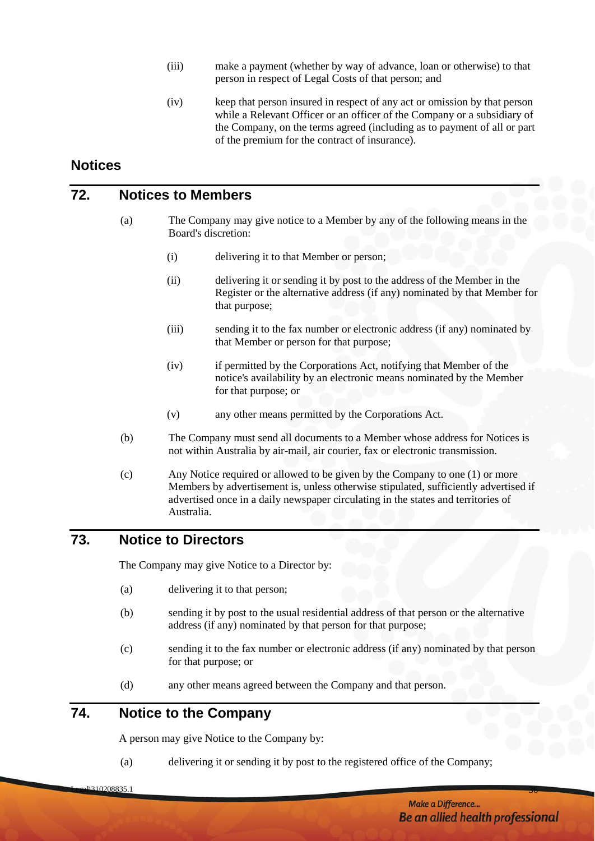- (iii) make a payment (whether by way of advance, loan or otherwise) to that person in respect of Legal Costs of that person; and
- (iv) keep that person insured in respect of any act or omission by that person while a Relevant Officer or an officer of the Company or a subsidiary of the Company, on the terms agreed (including as to payment of all or part of the premium for the contract of insurance).

# <span id="page-39-0"></span>**Notices**

#### <span id="page-39-1"></span>**72. Notices to Members**

- (a) The Company may give notice to a Member by any of the following means in the Board's discretion:
	- (i) delivering it to that Member or person;
	- (ii) delivering it or sending it by post to the address of the Member in the Register or the alternative address (if any) nominated by that Member for that purpose;
	- (iii) sending it to the fax number or electronic address (if any) nominated by that Member or person for that purpose;
	- (iv) if permitted by the Corporations Act, notifying that Member of the notice's availability by an electronic means nominated by the Member for that purpose; or
	- (v) any other means permitted by the Corporations Act.
- <span id="page-39-4"></span>(b) The Company must send all documents to a Member whose address for Notices is not within Australia by air-mail, air courier, fax or electronic transmission.
- (c) Any Notice required or allowed to be given by the Company to one (1) or more Members by advertisement is, unless otherwise stipulated, sufficiently advertised if advertised once in a daily newspaper circulating in the states and territories of Australia.

# <span id="page-39-2"></span>**73. Notice to Directors**

The Company may give Notice to a Director by:

- (a) delivering it to that person;
- (b) sending it by post to the usual residential address of that person or the alternative address (if any) nominated by that person for that purpose;
- (c) sending it to the fax number or electronic address (if any) nominated by that person for that purpose; or
- (d) any other means agreed between the Company and that person.

# <span id="page-39-3"></span>**74. Notice to the Company**

A person may give Notice to the Company by:

(a) delivering it or sending it by post to the registered office of the Company;

المادة المساحة المستقادة المساحة المساحة المساحة المساحة المساحة المساحة المساحة المساحة المساحة المساحة المساحة المساحة المساحة المساحة المساحة المساحة المساحة المساحة المساحة المساحة المساحة المساحة المساحة المساحة المس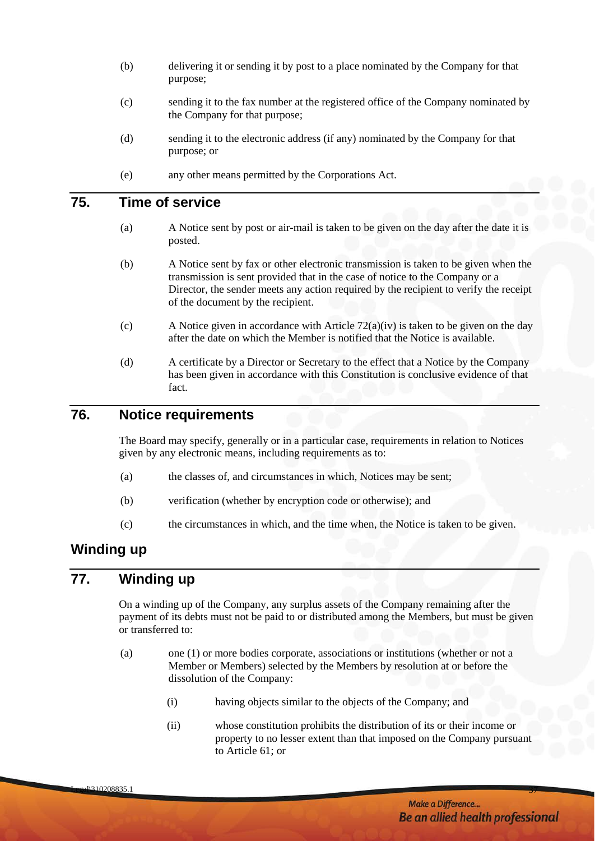- (b) delivering it or sending it by post to a place nominated by the Company for that purpose;
- (c) sending it to the fax number at the registered office of the Company nominated by the Company for that purpose;
- (d) sending it to the electronic address (if any) nominated by the Company for that purpose; or
- (e) any other means permitted by the Corporations Act.

# <span id="page-40-0"></span>**75. Time of service**

- (a) A Notice sent by post or air-mail is taken to be given on the day after the date it is posted.
- (b) A Notice sent by fax or other electronic transmission is taken to be given when the transmission is sent provided that in the case of notice to the Company or a Director, the sender meets any action required by the recipient to verify the receipt of the document by the recipient.
- (c) A Notice given in accordance with Article [72\(a\)\(iv\)](#page-39-4) is taken to be given on the day after the date on which the Member is notified that the Notice is available.
- (d) A certificate by a Director or Secretary to the effect that a Notice by the Company has been given in accordance with this Constitution is conclusive evidence of that fact.

#### <span id="page-40-1"></span>**76. Notice requirements**

The Board may specify, generally or in a particular case, requirements in relation to Notices given by any electronic means, including requirements as to:

- (a) the classes of, and circumstances in which, Notices may be sent;
- (b) verification (whether by encryption code or otherwise); and
- (c) the circumstances in which, and the time when, the Notice is taken to be given.

# <span id="page-40-2"></span>**Winding up**

# <span id="page-40-3"></span>**77. Winding up**

On a winding up of the Company, any surplus assets of the Company remaining after the payment of its debts must not be paid to or distributed among the Members, but must be given or transferred to:

- <span id="page-40-4"></span>(a) one (1) or more bodies corporate, associations or institutions (whether or not a Member or Members) selected by the Members by resolution at or before the dissolution of the Company:
	- (i) having objects similar to the objects of the Company; and
	- (ii) whose constitution prohibits the distribution of its or their income or property to no lesser extent than that imposed on the Company pursuant to Article [61;](#page-34-1) or